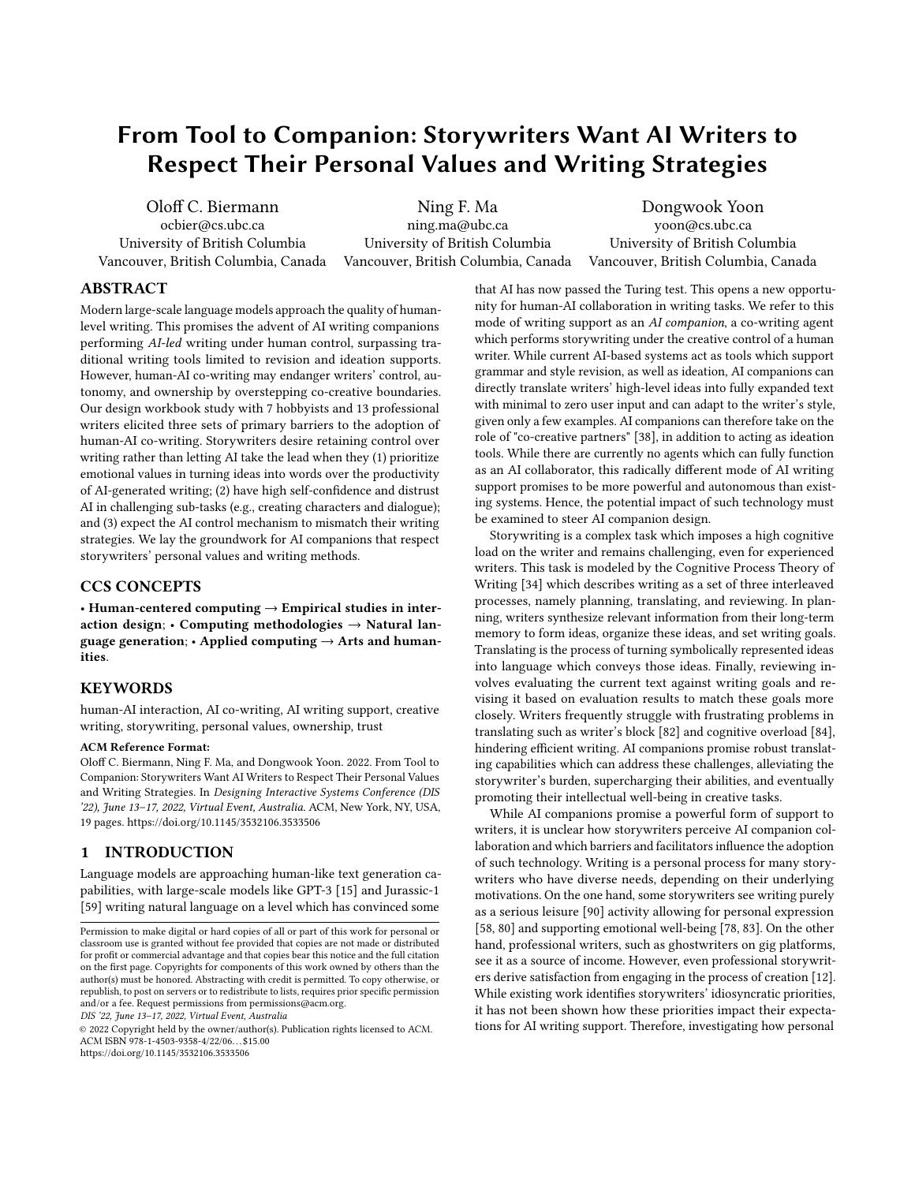# From Tool to Companion: Storywriters Want AI Writers to Respect Their Personal Values and Writing Strategies

Oloff C. Biermann ocbier@cs.ubc.ca University of British Columbia Vancouver, British Columbia, Canada

Ning F. Ma ning.ma@ubc.ca University of British Columbia Vancouver, British Columbia, Canada

Dongwook Yoon yoon@cs.ubc.ca University of British Columbia Vancouver, British Columbia, Canada

## ABSTRACT

Modern large-scale language models approach the quality of humanlevel writing. This promises the advent of AI writing companions performing AI-led writing under human control, surpassing traditional writing tools limited to revision and ideation supports. However, human-AI co-writing may endanger writers' control, autonomy, and ownership by overstepping co-creative boundaries. Our design workbook study with 7 hobbyists and 13 professional writers elicited three sets of primary barriers to the adoption of human-AI co-writing. Storywriters desire retaining control over writing rather than letting AI take the lead when they (1) prioritize emotional values in turning ideas into words over the productivity of AI-generated writing; (2) have high self-confidence and distrust AI in challenging sub-tasks (e.g., creating characters and dialogue); and (3) expect the AI control mechanism to mismatch their writing strategies. We lay the groundwork for AI companions that respect storywriters' personal values and writing methods.

#### CCS CONCEPTS

• Human-centered computing  $\rightarrow$  Empirical studies in interaction design; • Computing methodologies → Natural language generation;  $\cdot$  Applied computing  $\rightarrow$  Arts and humanities.

## **KEYWORDS**

human-AI interaction, AI co-writing, AI writing support, creative writing, storywriting, personal values, ownership, trust

#### ACM Reference Format:

Oloff C. Biermann, Ning F. Ma, and Dongwook Yoon. 2022. From Tool to Companion: Storywriters Want AI Writers to Respect Their Personal Values and Writing Strategies. In Designing Interactive Systems Conference (DIS '22), June 13–17, 2022, Virtual Event, Australia. ACM, New York, NY, USA, [19](#page-18-0) pages.<https://doi.org/10.1145/3532106.3533506>

## 1 INTRODUCTION

Language models are approaching human-like text generation capabilities, with large-scale models like GPT-3 [\[15\]](#page-16-0) and Jurassic-1 [\[59\]](#page-17-0) writing natural language on a level which has convinced some

DIS '22, June 13–17, 2022, Virtual Event, Australia

© 2022 Copyright held by the owner/author(s). Publication rights licensed to ACM. ACM ISBN 978-1-4503-9358-4/22/06. . . \$15.00 <https://doi.org/10.1145/3532106.3533506>

that AI has now passed the Turing test. This opens a new opportunity for human-AI collaboration in writing tasks. We refer to this mode of writing support as an AI companion, a co-writing agent which performs storywriting under the creative control of a human writer. While current AI-based systems act as tools which support grammar and style revision, as well as ideation, AI companions can directly translate writers' high-level ideas into fully expanded text with minimal to zero user input and can adapt to the writer's style, given only a few examples. AI companions can therefore take on the role of "co-creative partners" [\[38\]](#page-16-1), in addition to acting as ideation tools. While there are currently no agents which can fully function as an AI collaborator, this radically different mode of AI writing support promises to be more powerful and autonomous than existing systems. Hence, the potential impact of such technology must be examined to steer AI companion design.

Storywriting is a complex task which imposes a high cognitive load on the writer and remains challenging, even for experienced writers. This task is modeled by the Cognitive Process Theory of Writing [\[34\]](#page-16-2) which describes writing as a set of three interleaved processes, namely planning, translating, and reviewing. In planning, writers synthesize relevant information from their long-term memory to form ideas, organize these ideas, and set writing goals. Translating is the process of turning symbolically represented ideas into language which conveys those ideas. Finally, reviewing involves evaluating the current text against writing goals and revising it based on evaluation results to match these goals more closely. Writers frequently struggle with frustrating problems in translating such as writer's block [\[82\]](#page-18-1) and cognitive overload [\[84\]](#page-18-2), hindering efficient writing. AI companions promise robust translating capabilities which can address these challenges, alleviating the storywriter's burden, supercharging their abilities, and eventually promoting their intellectual well-being in creative tasks.

While AI companions promise a powerful form of support to writers, it is unclear how storywriters perceive AI companion collaboration and which barriers and facilitators influence the adoption of such technology. Writing is a personal process for many storywriters who have diverse needs, depending on their underlying motivations. On the one hand, some storywriters see writing purely as a serious leisure [\[90\]](#page-18-3) activity allowing for personal expression [\[58,](#page-17-1) [80\]](#page-18-4) and supporting emotional well-being [\[78,](#page-17-2) [83\]](#page-18-5). On the other hand, professional writers, such as ghostwriters on gig platforms, see it as a source of income. However, even professional storywriters derive satisfaction from engaging in the process of creation [\[12\]](#page-16-3). While existing work identifies storywriters' idiosyncratic priorities, it has not been shown how these priorities impact their expectations for AI writing support. Therefore, investigating how personal

Permission to make digital or hard copies of all or part of this work for personal or classroom use is granted without fee provided that copies are not made or distributed for profit or commercial advantage and that copies bear this notice and the full citation on the first page. Copyrights for components of this work owned by others than the author(s) must be honored. Abstracting with credit is permitted. To copy otherwise, or republish, to post on servers or to redistribute to lists, requires prior specific permission and/or a fee. Request permissions from permissions@acm.org.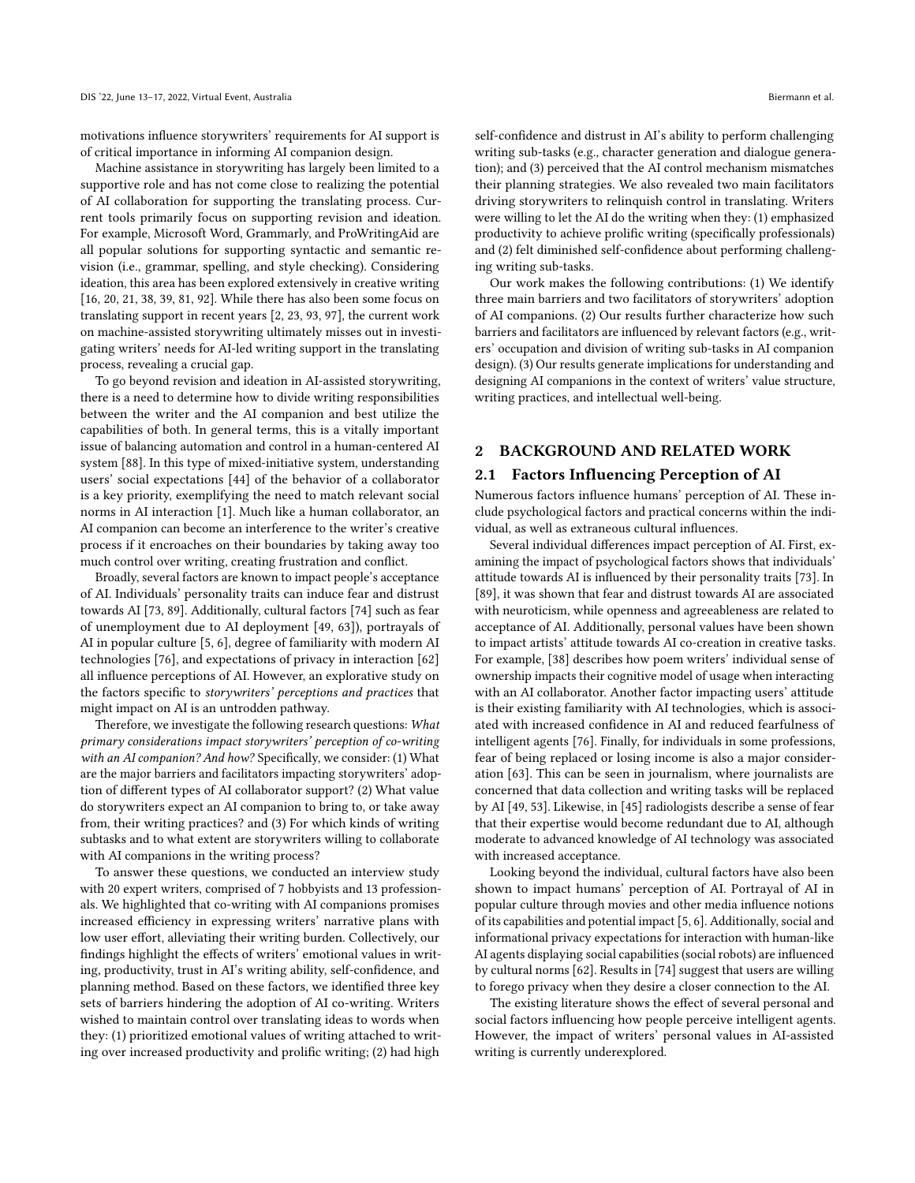motivations influence storywriters' requirements for AI support is of critical importance in informing AI companion design.

Machine assistance in storywriting has largely been limited to a supportive role and has not come close to realizing the potential of AI collaboration for supporting the translating process. Current tools primarily focus on supporting revision and ideation. For example, Microsoft Word, Grammarly, and ProWritingAid are all popular solutions for supporting syntactic and semantic revision (i.e., grammar, spelling, and style checking). Considering ideation, this area has been explored extensively in creative writing [\[16,](#page-16-4) [20,](#page-16-5) [21,](#page-16-6) [38,](#page-16-1) [39,](#page-17-3) [81,](#page-18-6) [92\]](#page-18-7). While there has also been some focus on translating support in recent years [\[2,](#page-16-7) [23,](#page-16-8) [93,](#page-18-8) [97\]](#page-18-9), the current work on machine-assisted storywriting ultimately misses out in investigating writers' needs for AI-led writing support in the translating process, revealing a crucial gap.

To go beyond revision and ideation in AI-assisted storywriting, there is a need to determine how to divide writing responsibilities between the writer and the AI companion and best utilize the capabilities of both. In general terms, this is a vitally important issue of balancing automation and control in a human-centered AI system [\[88\]](#page-18-10). In this type of mixed-initiative system, understanding users' social expectations [\[44\]](#page-17-4) of the behavior of a collaborator is a key priority, exemplifying the need to match relevant social norms in AI interaction [\[1\]](#page-15-0). Much like a human collaborator, an AI companion can become an interference to the writer's creative process if it encroaches on their boundaries by taking away too much control over writing, creating frustration and conflict.

Broadly, several factors are known to impact people's acceptance of AI. Individuals' personality traits can induce fear and distrust towards AI [\[73,](#page-17-5) [89\]](#page-18-11). Additionally, cultural factors [\[74\]](#page-17-6) such as fear of unemployment due to AI deployment [\[49,](#page-17-7) [63\]](#page-17-8)), portrayals of AI in popular culture [\[5,](#page-16-9) [6\]](#page-16-10), degree of familiarity with modern AI technologies [\[76\]](#page-17-9), and expectations of privacy in interaction [\[62\]](#page-17-10) all influence perceptions of AI. However, an explorative study on the factors specific to storywriters' perceptions and practices that might impact on AI is an untrodden pathway.

Therefore, we investigate the following research questions: What primary considerations impact storywriters' perception of co-writing with an AI companion? And how? Specifically, we consider: (1) What are the major barriers and facilitators impacting storywriters' adoption of different types of AI collaborator support? (2) What value do storywriters expect an AI companion to bring to, or take away from, their writing practices? and (3) For which kinds of writing subtasks and to what extent are storywriters willing to collaborate with AI companions in the writing process?

To answer these questions, we conducted an interview study with 20 expert writers, comprised of 7 hobbyists and 13 professionals. We highlighted that co-writing with AI companions promises increased efficiency in expressing writers' narrative plans with low user effort, alleviating their writing burden. Collectively, our findings highlight the effects of writers' emotional values in writing, productivity, trust in AI's writing ability, self-confidence, and planning method. Based on these factors, we identified three key sets of barriers hindering the adoption of AI co-writing. Writers wished to maintain control over translating ideas to words when they: (1) prioritized emotional values of writing attached to writing over increased productivity and prolific writing; (2) had high

self-confidence and distrust in AI's ability to perform challenging writing sub-tasks (e.g., character generation and dialogue generation); and (3) perceived that the AI control mechanism mismatches their planning strategies. We also revealed two main facilitators driving storywriters to relinquish control in translating. Writers were willing to let the AI do the writing when they: (1) emphasized productivity to achieve prolific writing (specifically professionals) and (2) felt diminished self-confidence about performing challenging writing sub-tasks.

Our work makes the following contributions: (1) We identify three main barriers and two facilitators of storywriters' adoption of AI companions. (2) Our results further characterize how such barriers and facilitators are influenced by relevant factors (e.g., writers' occupation and division of writing sub-tasks in AI companion design). (3) Our results generate implications for understanding and designing AI companions in the context of writers' value structure, writing practices, and intellectual well-being.

## 2 BACKGROUND AND RELATED WORK

#### 2.1 Factors Influencing Perception of AI

Numerous factors influence humans' perception of AI. These include psychological factors and practical concerns within the individual, as well as extraneous cultural influences.

Several individual differences impact perception of AI. First, examining the impact of psychological factors shows that individuals' attitude towards AI is influenced by their personality traits [\[73\]](#page-17-5). In [\[89\]](#page-18-11), it was shown that fear and distrust towards AI are associated with neuroticism, while openness and agreeableness are related to acceptance of AI. Additionally, personal values have been shown to impact artists' attitude towards AI co-creation in creative tasks. For example, [\[38\]](#page-16-1) describes how poem writers' individual sense of ownership impacts their cognitive model of usage when interacting with an AI collaborator. Another factor impacting users' attitude is their existing familiarity with AI technologies, which is associated with increased confidence in AI and reduced fearfulness of intelligent agents [\[76\]](#page-17-9). Finally, for individuals in some professions, fear of being replaced or losing income is also a major consideration [\[63\]](#page-17-8). This can be seen in journalism, where journalists are concerned that data collection and writing tasks will be replaced by AI [\[49,](#page-17-7) [53\]](#page-17-11). Likewise, in [\[45\]](#page-17-12) radiologists describe a sense of fear that their expertise would become redundant due to AI, although moderate to advanced knowledge of AI technology was associated with increased acceptance.

Looking beyond the individual, cultural factors have also been shown to impact humans' perception of AI. Portrayal of AI in popular culture through movies and other media influence notions of its capabilities and potential impact [\[5,](#page-16-9) [6\]](#page-16-10). Additionally, social and informational privacy expectations for interaction with human-like AI agents displaying social capabilities (social robots) are influenced by cultural norms [\[62\]](#page-17-10). Results in [\[74\]](#page-17-6) suggest that users are willing to forego privacy when they desire a closer connection to the AI.

The existing literature shows the effect of several personal and social factors influencing how people perceive intelligent agents. However, the impact of writers' personal values in AI-assisted writing is currently underexplored.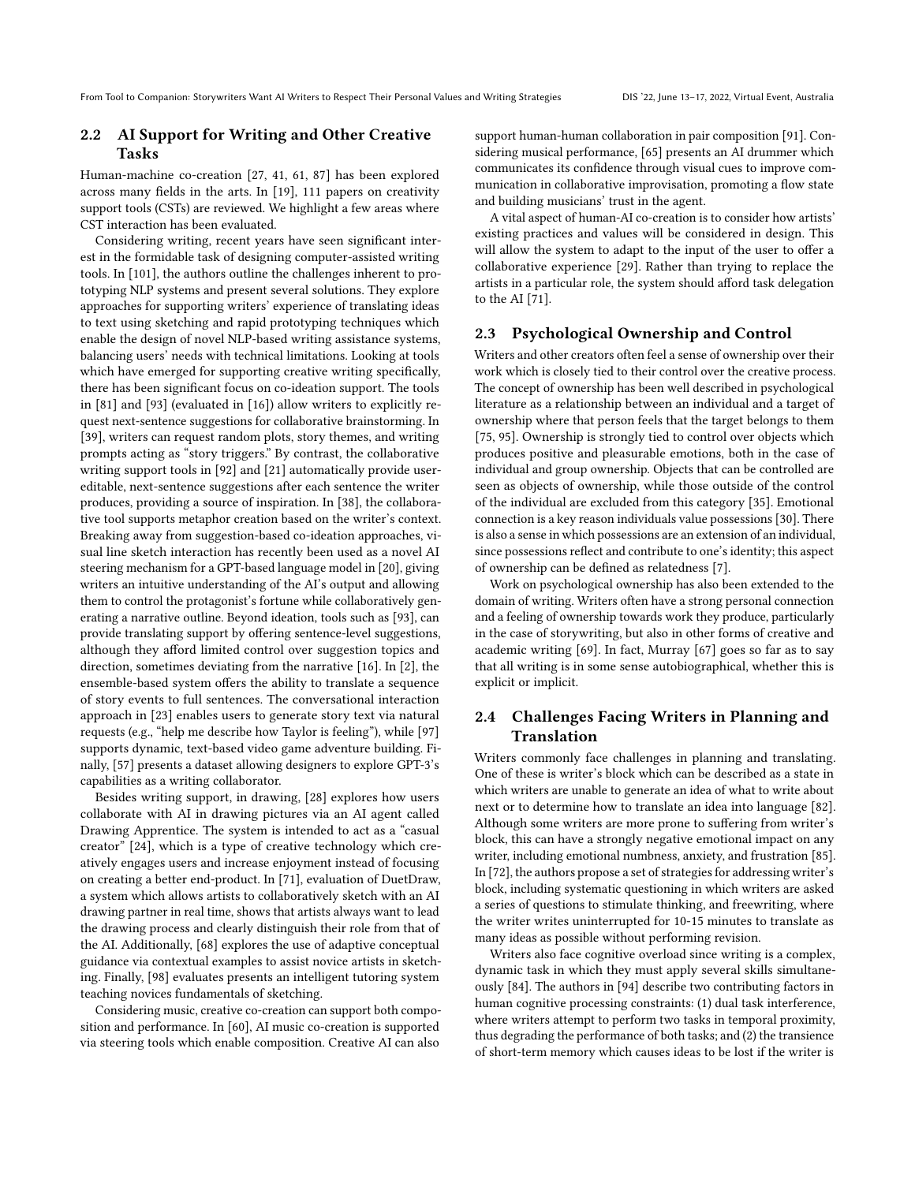## 2.2 AI Support for Writing and Other Creative Tasks

Human-machine co-creation [\[27,](#page-16-11) [41,](#page-17-13) [61,](#page-17-14) [87\]](#page-18-12) has been explored across many fields in the arts. In [\[19\]](#page-16-12), 111 papers on creativity support tools (CSTs) are reviewed. We highlight a few areas where CST interaction has been evaluated.

Considering writing, recent years have seen significant interest in the formidable task of designing computer-assisted writing tools. In [\[101\]](#page-18-13), the authors outline the challenges inherent to prototyping NLP systems and present several solutions. They explore approaches for supporting writers' experience of translating ideas to text using sketching and rapid prototyping techniques which enable the design of novel NLP-based writing assistance systems, balancing users' needs with technical limitations. Looking at tools which have emerged for supporting creative writing specifically, there has been significant focus on co-ideation support. The tools in [\[81\]](#page-18-6) and [\[93\]](#page-18-8) (evaluated in [\[16\]](#page-16-4)) allow writers to explicitly request next-sentence suggestions for collaborative brainstorming. In [\[39\]](#page-17-3), writers can request random plots, story themes, and writing prompts acting as "story triggers." By contrast, the collaborative writing support tools in [\[92\]](#page-18-7) and [\[21\]](#page-16-6) automatically provide usereditable, next-sentence suggestions after each sentence the writer produces, providing a source of inspiration. In [\[38\]](#page-16-1), the collaborative tool supports metaphor creation based on the writer's context. Breaking away from suggestion-based co-ideation approaches, visual line sketch interaction has recently been used as a novel AI steering mechanism for a GPT-based language model in [\[20\]](#page-16-5), giving writers an intuitive understanding of the AI's output and allowing them to control the protagonist's fortune while collaboratively generating a narrative outline. Beyond ideation, tools such as [\[93\]](#page-18-8), can provide translating support by offering sentence-level suggestions, although they afford limited control over suggestion topics and direction, sometimes deviating from the narrative [\[16\]](#page-16-4). In [\[2\]](#page-16-7), the ensemble-based system offers the ability to translate a sequence of story events to full sentences. The conversational interaction approach in [\[23\]](#page-16-8) enables users to generate story text via natural requests (e.g., "help me describe how Taylor is feeling"), while [\[97\]](#page-18-9) supports dynamic, text-based video game adventure building. Finally, [\[57\]](#page-17-15) presents a dataset allowing designers to explore GPT-3's capabilities as a writing collaborator.

Besides writing support, in drawing, [\[28\]](#page-16-13) explores how users collaborate with AI in drawing pictures via an AI agent called Drawing Apprentice. The system is intended to act as a "casual creator" [\[24\]](#page-16-14), which is a type of creative technology which creatively engages users and increase enjoyment instead of focusing on creating a better end-product. In [\[71\]](#page-17-16), evaluation of DuetDraw, a system which allows artists to collaboratively sketch with an AI drawing partner in real time, shows that artists always want to lead the drawing process and clearly distinguish their role from that of the AI. Additionally, [\[68\]](#page-17-17) explores the use of adaptive conceptual guidance via contextual examples to assist novice artists in sketching. Finally, [\[98\]](#page-18-14) evaluates presents an intelligent tutoring system teaching novices fundamentals of sketching.

Considering music, creative co-creation can support both composition and performance. In [\[60\]](#page-17-18), AI music co-creation is supported via steering tools which enable composition. Creative AI can also

support human-human collaboration in pair composition [\[91\]](#page-18-15). Considering musical performance, [\[65\]](#page-17-19) presents an AI drummer which communicates its confidence through visual cues to improve communication in collaborative improvisation, promoting a flow state and building musicians' trust in the agent.

A vital aspect of human-AI co-creation is to consider how artists' existing practices and values will be considered in design. This will allow the system to adapt to the input of the user to offer a collaborative experience [\[29\]](#page-16-15). Rather than trying to replace the artists in a particular role, the system should afford task delegation to the AI [\[71\]](#page-17-16).

#### 2.3 Psychological Ownership and Control

Writers and other creators often feel a sense of ownership over their work which is closely tied to their control over the creative process. The concept of ownership has been well described in psychological literature as a relationship between an individual and a target of ownership where that person feels that the target belongs to them [\[75,](#page-17-20) [95\]](#page-18-16). Ownership is strongly tied to control over objects which produces positive and pleasurable emotions, both in the case of individual and group ownership. Objects that can be controlled are seen as objects of ownership, while those outside of the control of the individual are excluded from this category [\[35\]](#page-16-16). Emotional connection is a key reason individuals value possessions [\[30\]](#page-16-17). There is also a sense in which possessions are an extension of an individual, since possessions reflect and contribute to one's identity; this aspect of ownership can be defined as relatedness [\[7\]](#page-16-18).

Work on psychological ownership has also been extended to the domain of writing. Writers often have a strong personal connection and a feeling of ownership towards work they produce, particularly in the case of storywriting, but also in other forms of creative and academic writing [\[69\]](#page-17-21). In fact, Murray [\[67\]](#page-17-22) goes so far as to say that all writing is in some sense autobiographical, whether this is explicit or implicit.

## 2.4 Challenges Facing Writers in Planning and Translation

Writers commonly face challenges in planning and translating. One of these is writer's block which can be described as a state in which writers are unable to generate an idea of what to write about next or to determine how to translate an idea into language [\[82\]](#page-18-1). Although some writers are more prone to suffering from writer's block, this can have a strongly negative emotional impact on any writer, including emotional numbness, anxiety, and frustration [\[85\]](#page-18-17). In [\[72\]](#page-17-23), the authors propose a set of strategies for addressing writer's block, including systematic questioning in which writers are asked a series of questions to stimulate thinking, and freewriting, where the writer writes uninterrupted for 10-15 minutes to translate as many ideas as possible without performing revision.

Writers also face cognitive overload since writing is a complex, dynamic task in which they must apply several skills simultaneously [\[84\]](#page-18-2). The authors in [\[94\]](#page-18-18) describe two contributing factors in human cognitive processing constraints: (1) dual task interference, where writers attempt to perform two tasks in temporal proximity, thus degrading the performance of both tasks; and (2) the transience of short-term memory which causes ideas to be lost if the writer is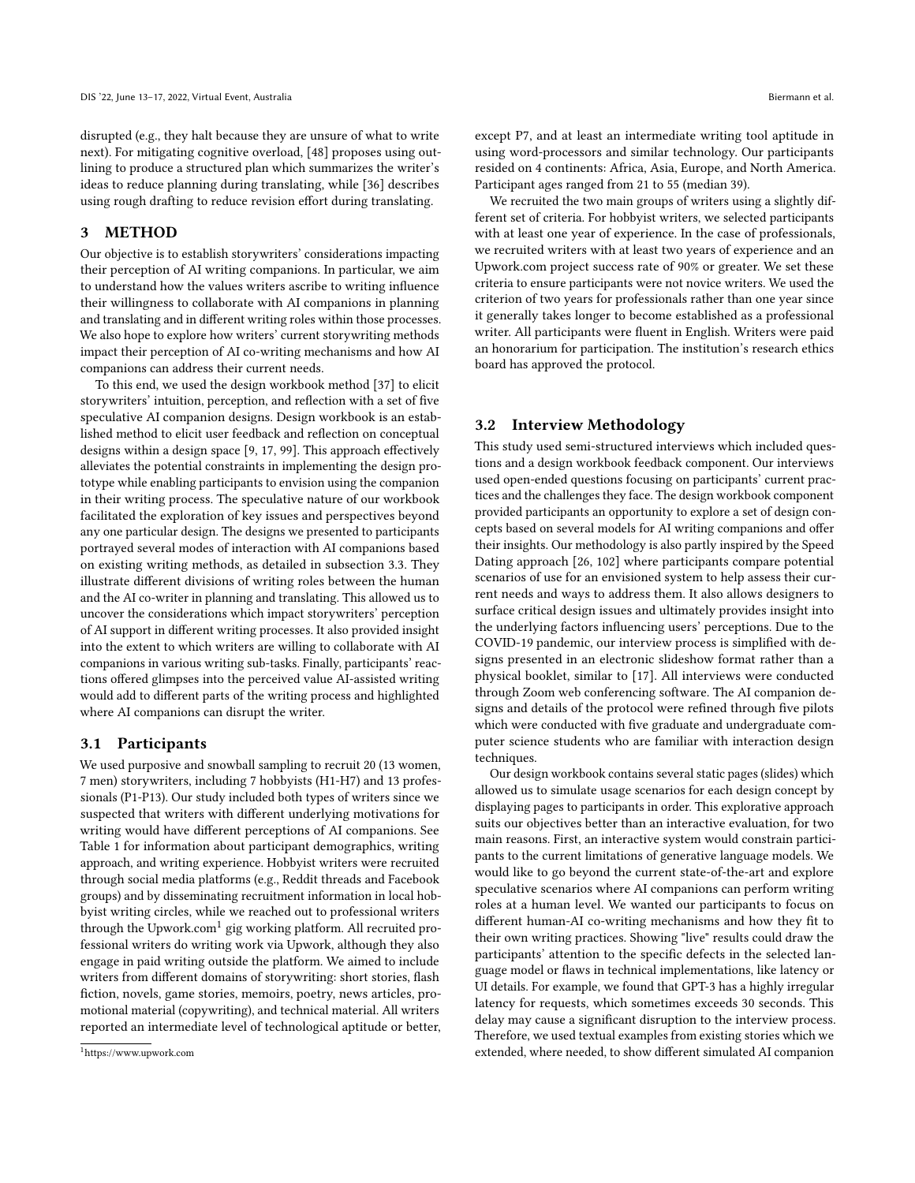disrupted (e.g., they halt because they are unsure of what to write next). For mitigating cognitive overload, [\[48\]](#page-17-24) proposes using outlining to produce a structured plan which summarizes the writer's ideas to reduce planning during translating, while [\[36\]](#page-16-19) describes using rough drafting to reduce revision effort during translating.

#### 3 METHOD

Our objective is to establish storywriters' considerations impacting their perception of AI writing companions. In particular, we aim to understand how the values writers ascribe to writing influence their willingness to collaborate with AI companions in planning and translating and in different writing roles within those processes. We also hope to explore how writers' current storywriting methods impact their perception of AI co-writing mechanisms and how AI companions can address their current needs.

To this end, we used the design workbook method [\[37\]](#page-16-20) to elicit storywriters' intuition, perception, and reflection with a set of five speculative AI companion designs. Design workbook is an established method to elicit user feedback and reflection on conceptual designs within a design space [\[9,](#page-16-21) [17,](#page-16-22) [99\]](#page-18-19). This approach effectively alleviates the potential constraints in implementing the design prototype while enabling participants to envision using the companion in their writing process. The speculative nature of our workbook facilitated the exploration of key issues and perspectives beyond any one particular design. The designs we presented to participants portrayed several modes of interaction with AI companions based on existing writing methods, as detailed in subsection [3.3.](#page-4-0) They illustrate different divisions of writing roles between the human and the AI co-writer in planning and translating. This allowed us to uncover the considerations which impact storywriters' perception of AI support in different writing processes. It also provided insight into the extent to which writers are willing to collaborate with AI companions in various writing sub-tasks. Finally, participants' reactions offered glimpses into the perceived value AI-assisted writing would add to different parts of the writing process and highlighted where AI companions can disrupt the writer.

#### 3.1 Participants

We used purposive and snowball sampling to recruit 20 (13 women, 7 men) storywriters, including 7 hobbyists (H1-H7) and 13 professionals (P1-P13). Our study included both types of writers since we suspected that writers with different underlying motivations for writing would have different perceptions of AI companions. See Table [1](#page-4-1) for information about participant demographics, writing approach, and writing experience. Hobbyist writers were recruited through social media platforms (e.g., Reddit threads and Facebook groups) and by disseminating recruitment information in local hobbyist writing circles, while we reached out to professional writers through the Upwork.com<sup>[1](#page-3-0)</sup> gig working platform. All recruited professional writers do writing work via Upwork, although they also engage in paid writing outside the platform. We aimed to include writers from different domains of storywriting: short stories, flash fiction, novels, game stories, memoirs, poetry, news articles, promotional material (copywriting), and technical material. All writers reported an intermediate level of technological aptitude or better,

except P7, and at least an intermediate writing tool aptitude in using word-processors and similar technology. Our participants resided on 4 continents: Africa, Asia, Europe, and North America. Participant ages ranged from 21 to 55 (median 39).

We recruited the two main groups of writers using a slightly different set of criteria. For hobbyist writers, we selected participants with at least one year of experience. In the case of professionals, we recruited writers with at least two years of experience and an Upwork.com project success rate of 90% or greater. We set these criteria to ensure participants were not novice writers. We used the criterion of two years for professionals rather than one year since it generally takes longer to become established as a professional writer. All participants were fluent in English. Writers were paid an honorarium for participation. The institution's research ethics board has approved the protocol.

#### 3.2 Interview Methodology

This study used semi-structured interviews which included questions and a design workbook feedback component. Our interviews used open-ended questions focusing on participants' current practices and the challenges they face. The design workbook component provided participants an opportunity to explore a set of design concepts based on several models for AI writing companions and offer their insights. Our methodology is also partly inspired by the Speed Dating approach [\[26,](#page-16-23) [102\]](#page-18-20) where participants compare potential scenarios of use for an envisioned system to help assess their current needs and ways to address them. It also allows designers to surface critical design issues and ultimately provides insight into the underlying factors influencing users' perceptions. Due to the COVID-19 pandemic, our interview process is simplified with designs presented in an electronic slideshow format rather than a physical booklet, similar to [\[17\]](#page-16-22). All interviews were conducted through Zoom web conferencing software. The AI companion designs and details of the protocol were refined through five pilots which were conducted with five graduate and undergraduate computer science students who are familiar with interaction design techniques.

Our design workbook contains several static pages (slides) which allowed us to simulate usage scenarios for each design concept by displaying pages to participants in order. This explorative approach suits our objectives better than an interactive evaluation, for two main reasons. First, an interactive system would constrain participants to the current limitations of generative language models. We would like to go beyond the current state-of-the-art and explore speculative scenarios where AI companions can perform writing roles at a human level. We wanted our participants to focus on different human-AI co-writing mechanisms and how they fit to their own writing practices. Showing "live" results could draw the participants' attention to the specific defects in the selected language model or flaws in technical implementations, like latency or UI details. For example, we found that GPT-3 has a highly irregular latency for requests, which sometimes exceeds 30 seconds. This delay may cause a significant disruption to the interview process. Therefore, we used textual examples from existing stories which we extended, where needed, to show different simulated AI companion

<span id="page-3-0"></span><sup>1</sup>https://www.upwork.com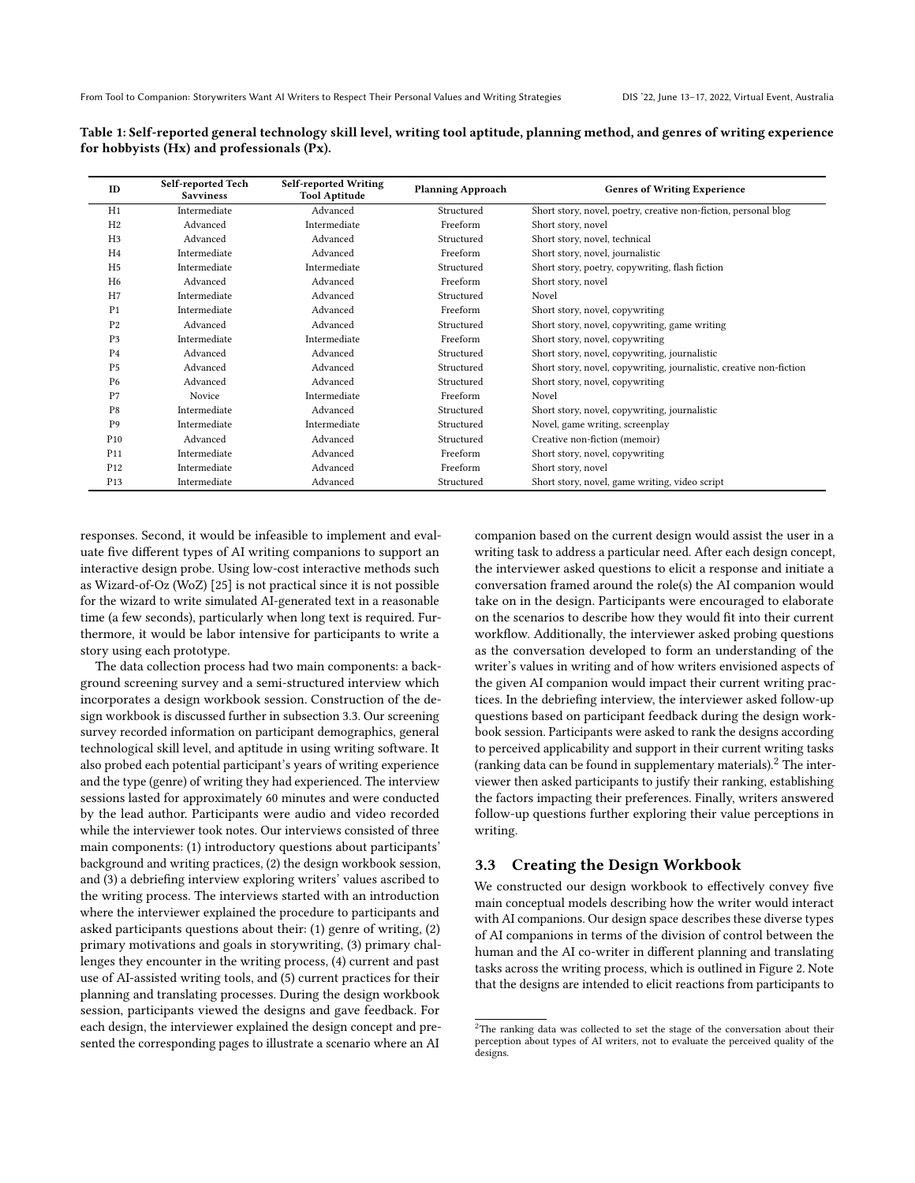<span id="page-4-1"></span>Table 1: Self-reported general technology skill level, writing tool aptitude, planning method, and genres of writing experience for hobbyists (Hx) and professionals (Px).

| ID              | Self-reported Tech<br><b>Savviness</b> | <b>Self-reported Writing</b><br><b>Tool Aptitude</b> | <b>Planning Approach</b> | <b>Genres of Writing Experience</b>                                 |  |
|-----------------|----------------------------------------|------------------------------------------------------|--------------------------|---------------------------------------------------------------------|--|
| H1              | Intermediate                           | Advanced                                             | Structured               | Short story, novel, poetry, creative non-fiction, personal blog     |  |
| H <sub>2</sub>  | Advanced                               | Intermediate                                         | Freeform                 | Short story, novel                                                  |  |
| H <sub>3</sub>  | Advanced                               | Advanced                                             | Structured               | Short story, novel, technical                                       |  |
| H <sub>4</sub>  | Intermediate                           | Advanced                                             | Freeform                 | Short story, novel, journalistic                                    |  |
| H <sub>5</sub>  | Intermediate                           | Intermediate                                         | Structured               | Short story, poetry, copywriting, flash fiction                     |  |
| H <sub>6</sub>  | Advanced                               | Advanced                                             | Freeform                 | Short story, novel                                                  |  |
| H7              | Intermediate                           | Advanced                                             | Structured               | Novel                                                               |  |
| P <sub>1</sub>  | Intermediate                           | Advanced                                             | Freeform                 | Short story, novel, copywriting                                     |  |
| P <sub>2</sub>  | Advanced                               | Advanced                                             | Structured               | Short story, novel, copywriting, game writing                       |  |
| P <sub>3</sub>  | Intermediate                           | Intermediate                                         | Freeform                 | Short story, novel, copywriting                                     |  |
| P <sub>4</sub>  | Advanced                               | Advanced                                             | Structured               | Short story, novel, copywriting, journalistic                       |  |
| P <sub>5</sub>  | Advanced                               | Advanced                                             | Structured               | Short story, novel, copywriting, journalistic, creative non-fiction |  |
| P <sub>6</sub>  | Advanced                               | Advanced                                             | Structured               | Short story, novel, copywriting                                     |  |
| P7              | Novice                                 | Intermediate                                         | Freeform                 | Novel                                                               |  |
| P <sub>8</sub>  | Intermediate                           | Advanced                                             | Structured               | Short story, novel, copywriting, journalistic                       |  |
| P <sub>9</sub>  | Intermediate                           | Intermediate                                         | Structured               | Novel, game writing, screenplay                                     |  |
| P <sub>10</sub> | Advanced                               | Advanced                                             | Structured               | Creative non-fiction (memoir)                                       |  |
| P <sub>11</sub> | Intermediate                           | Advanced                                             | Freeform                 | Short story, novel, copywriting                                     |  |
| P <sub>12</sub> | Intermediate                           | Advanced                                             | Freeform                 | Short story, novel                                                  |  |
| P <sub>13</sub> | Intermediate                           | Advanced                                             | Structured               | Short story, novel, game writing, video script                      |  |

responses. Second, it would be infeasible to implement and evaluate five different types of AI writing companions to support an interactive design probe. Using low-cost interactive methods such as Wizard-of-Oz (WoZ) [\[25\]](#page-16-24) is not practical since it is not possible for the wizard to write simulated AI-generated text in a reasonable time (a few seconds), particularly when long text is required. Furthermore, it would be labor intensive for participants to write a story using each prototype.

The data collection process had two main components: a background screening survey and a semi-structured interview which incorporates a design workbook session. Construction of the design workbook is discussed further in subsection [3.3.](#page-4-0) Our screening survey recorded information on participant demographics, general technological skill level, and aptitude in using writing software. It also probed each potential participant's years of writing experience and the type (genre) of writing they had experienced. The interview sessions lasted for approximately 60 minutes and were conducted by the lead author. Participants were audio and video recorded while the interviewer took notes. Our interviews consisted of three main components: (1) introductory questions about participants' background and writing practices, (2) the design workbook session, and (3) a debriefing interview exploring writers' values ascribed to the writing process. The interviews started with an introduction where the interviewer explained the procedure to participants and asked participants questions about their: (1) genre of writing, (2) primary motivations and goals in storywriting, (3) primary challenges they encounter in the writing process, (4) current and past use of AI-assisted writing tools, and (5) current practices for their planning and translating processes. During the design workbook session, participants viewed the designs and gave feedback. For each design, the interviewer explained the design concept and presented the corresponding pages to illustrate a scenario where an AI

companion based on the current design would assist the user in a writing task to address a particular need. After each design concept, the interviewer asked questions to elicit a response and initiate a conversation framed around the role(s) the AI companion would take on in the design. Participants were encouraged to elaborate on the scenarios to describe how they would fit into their current workflow. Additionally, the interviewer asked probing questions as the conversation developed to form an understanding of the writer's values in writing and of how writers envisioned aspects of the given AI companion would impact their current writing practices. In the debriefing interview, the interviewer asked follow-up questions based on participant feedback during the design workbook session. Participants were asked to rank the designs according to perceived applicability and support in their current writing tasks (ranking data can be found in supplementary materials). $<sup>2</sup>$  $<sup>2</sup>$  $<sup>2</sup>$  The inter-</sup> viewer then asked participants to justify their ranking, establishing the factors impacting their preferences. Finally, writers answered follow-up questions further exploring their value perceptions in writing.

## <span id="page-4-0"></span>3.3 Creating the Design Workbook

We constructed our design workbook to effectively convey five main conceptual models describing how the writer would interact with AI companions. Our design space describes these diverse types of AI companions in terms of the division of control between the human and the AI co-writer in different planning and translating tasks across the writing process, which is outlined in Figure [2.](#page-7-0) Note that the designs are intended to elicit reactions from participants to

<span id="page-4-2"></span> $2$ The ranking data was collected to set the stage of the conversation about their perception about types of AI writers, not to evaluate the perceived quality of the designs.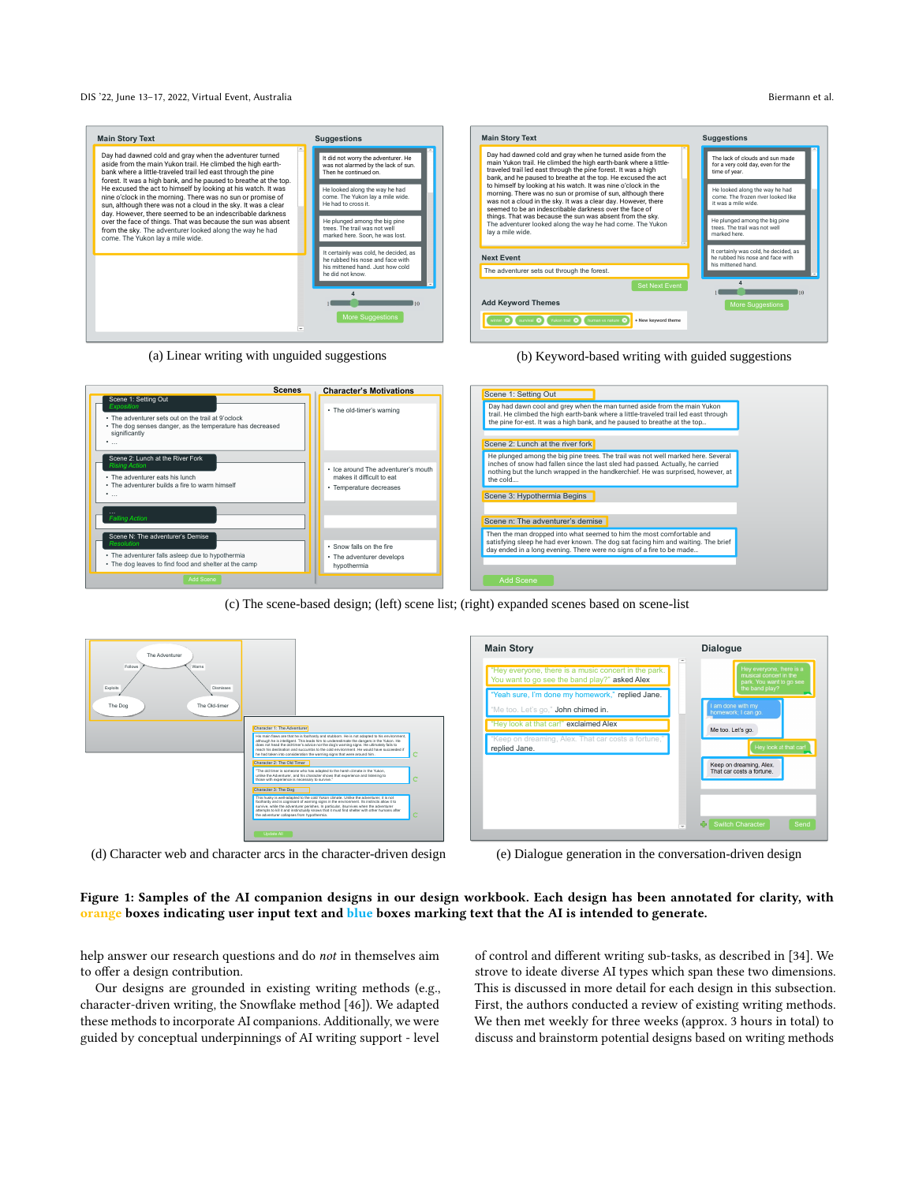#### DIS '22, June 13–17, 2022, Virtual Event, Australia Biermann et al.

<span id="page-5-0"></span>

(a) Linear writing with unguided suggestions (b) Keyword-based writing with guided suggestions



(c) The scene-based design; (left) scene list; (right) expanded scenes based on scene-list

**Main Story** 



want to go see the band play?" asked Alex replie Yeah sure, I'm do Let's go," John chimed in look at that car!" exclaimed Alex Me too. Let's go re Keep on dreaming, Alex.<br>That car costs a fortune.

**Dialogue** 

(d) Character web and character arcs in the character-driven design

(e) Dialogue generation in the conversation-driven design

#### Figure 1: Samples of the AI companion designs in our design workbook. Each design has been annotated for clarity, with orange boxes indicating user input text and blue boxes marking text that the AI is intended to generate.

help answer our research questions and do not in themselves aim to offer a design contribution.

Our designs are grounded in existing writing methods (e.g., character-driven writing, the Snowflake method [\[46\]](#page-17-25)). We adapted these methods to incorporate AI companions. Additionally, we were guided by conceptual underpinnings of AI writing support - level

of control and different writing sub-tasks, as described in [\[34\]](#page-16-2). We strove to ideate diverse AI types which span these two dimensions. This is discussed in more detail for each design in this subsection. First, the authors conducted a review of existing writing methods. We then met weekly for three weeks (approx. 3 hours in total) to discuss and brainstorm potential designs based on writing methods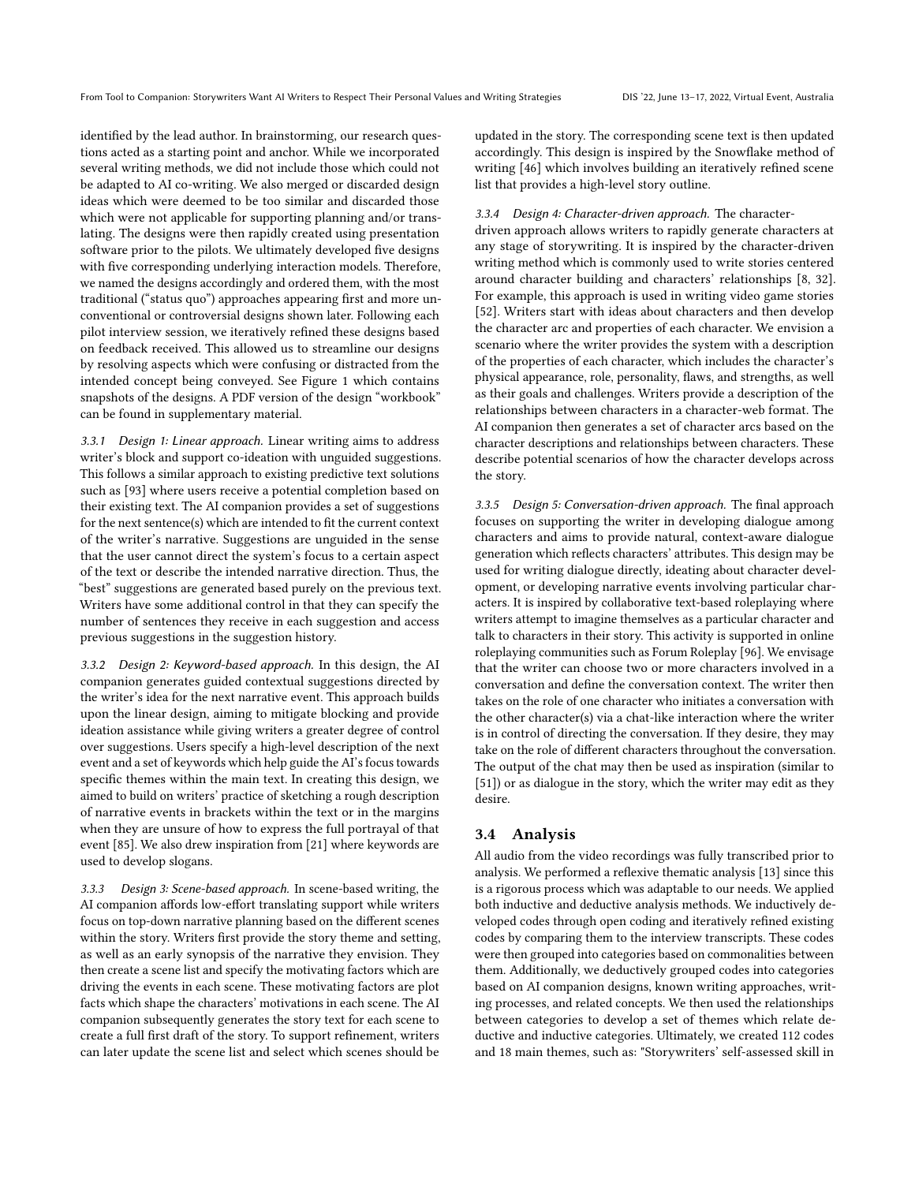identified by the lead author. In brainstorming, our research questions acted as a starting point and anchor. While we incorporated several writing methods, we did not include those which could not be adapted to AI co-writing. We also merged or discarded design ideas which were deemed to be too similar and discarded those which were not applicable for supporting planning and/or translating. The designs were then rapidly created using presentation software prior to the pilots. We ultimately developed five designs with five corresponding underlying interaction models. Therefore, we named the designs accordingly and ordered them, with the most traditional ("status quo") approaches appearing first and more unconventional or controversial designs shown later. Following each pilot interview session, we iteratively refined these designs based on feedback received. This allowed us to streamline our designs by resolving aspects which were confusing or distracted from the intended concept being conveyed. See Figure [1](#page-5-0) which contains snapshots of the designs. A PDF version of the design "workbook" can be found in supplementary material.

3.3.1 Design 1: Linear approach. Linear writing aims to address writer's block and support co-ideation with unguided suggestions. This follows a similar approach to existing predictive text solutions such as [\[93\]](#page-18-8) where users receive a potential completion based on their existing text. The AI companion provides a set of suggestions for the next sentence(s) which are intended to fit the current context of the writer's narrative. Suggestions are unguided in the sense that the user cannot direct the system's focus to a certain aspect of the text or describe the intended narrative direction. Thus, the "best" suggestions are generated based purely on the previous text. Writers have some additional control in that they can specify the number of sentences they receive in each suggestion and access previous suggestions in the suggestion history.

3.3.2 Design 2: Keyword-based approach. In this design, the AI companion generates guided contextual suggestions directed by the writer's idea for the next narrative event. This approach builds upon the linear design, aiming to mitigate blocking and provide ideation assistance while giving writers a greater degree of control over suggestions. Users specify a high-level description of the next event and a set of keywords which help guide the AI's focus towards specific themes within the main text. In creating this design, we aimed to build on writers' practice of sketching a rough description of narrative events in brackets within the text or in the margins when they are unsure of how to express the full portrayal of that event [\[85\]](#page-18-17). We also drew inspiration from [\[21\]](#page-16-6) where keywords are used to develop slogans.

3.3.3 Design 3: Scene-based approach. In scene-based writing, the AI companion affords low-effort translating support while writers focus on top-down narrative planning based on the different scenes within the story. Writers first provide the story theme and setting, as well as an early synopsis of the narrative they envision. They then create a scene list and specify the motivating factors which are driving the events in each scene. These motivating factors are plot facts which shape the characters' motivations in each scene. The AI companion subsequently generates the story text for each scene to create a full first draft of the story. To support refinement, writers can later update the scene list and select which scenes should be

updated in the story. The corresponding scene text is then updated accordingly. This design is inspired by the Snowflake method of writing [\[46\]](#page-17-25) which involves building an iteratively refined scene list that provides a high-level story outline.

#### 3.3.4 Design 4: Character-driven approach. The character-

driven approach allows writers to rapidly generate characters at any stage of storywriting. It is inspired by the character-driven writing method which is commonly used to write stories centered around character building and characters' relationships [\[8,](#page-16-25) [32\]](#page-16-26). For example, this approach is used in writing video game stories [\[52\]](#page-17-26). Writers start with ideas about characters and then develop the character arc and properties of each character. We envision a scenario where the writer provides the system with a description of the properties of each character, which includes the character's physical appearance, role, personality, flaws, and strengths, as well as their goals and challenges. Writers provide a description of the relationships between characters in a character-web format. The AI companion then generates a set of character arcs based on the character descriptions and relationships between characters. These describe potential scenarios of how the character develops across the story.

3.3.5 Design 5: Conversation-driven approach. The final approach focuses on supporting the writer in developing dialogue among characters and aims to provide natural, context-aware dialogue generation which reflects characters' attributes. This design may be used for writing dialogue directly, ideating about character development, or developing narrative events involving particular characters. It is inspired by collaborative text-based roleplaying where writers attempt to imagine themselves as a particular character and talk to characters in their story. This activity is supported in online roleplaying communities such as Forum Roleplay [\[96\]](#page-18-21). We envisage that the writer can choose two or more characters involved in a conversation and define the conversation context. The writer then takes on the role of one character who initiates a conversation with the other character(s) via a chat-like interaction where the writer is in control of directing the conversation. If they desire, they may take on the role of different characters throughout the conversation. The output of the chat may then be used as inspiration (similar to [\[51\]](#page-17-27)) or as dialogue in the story, which the writer may edit as they desire.

#### 3.4 Analysis

All audio from the video recordings was fully transcribed prior to analysis. We performed a reflexive thematic analysis [\[13\]](#page-16-27) since this is a rigorous process which was adaptable to our needs. We applied both inductive and deductive analysis methods. We inductively developed codes through open coding and iteratively refined existing codes by comparing them to the interview transcripts. These codes were then grouped into categories based on commonalities between them. Additionally, we deductively grouped codes into categories based on AI companion designs, known writing approaches, writing processes, and related concepts. We then used the relationships between categories to develop a set of themes which relate deductive and inductive categories. Ultimately, we created 112 codes and 18 main themes, such as: "Storywriters' self-assessed skill in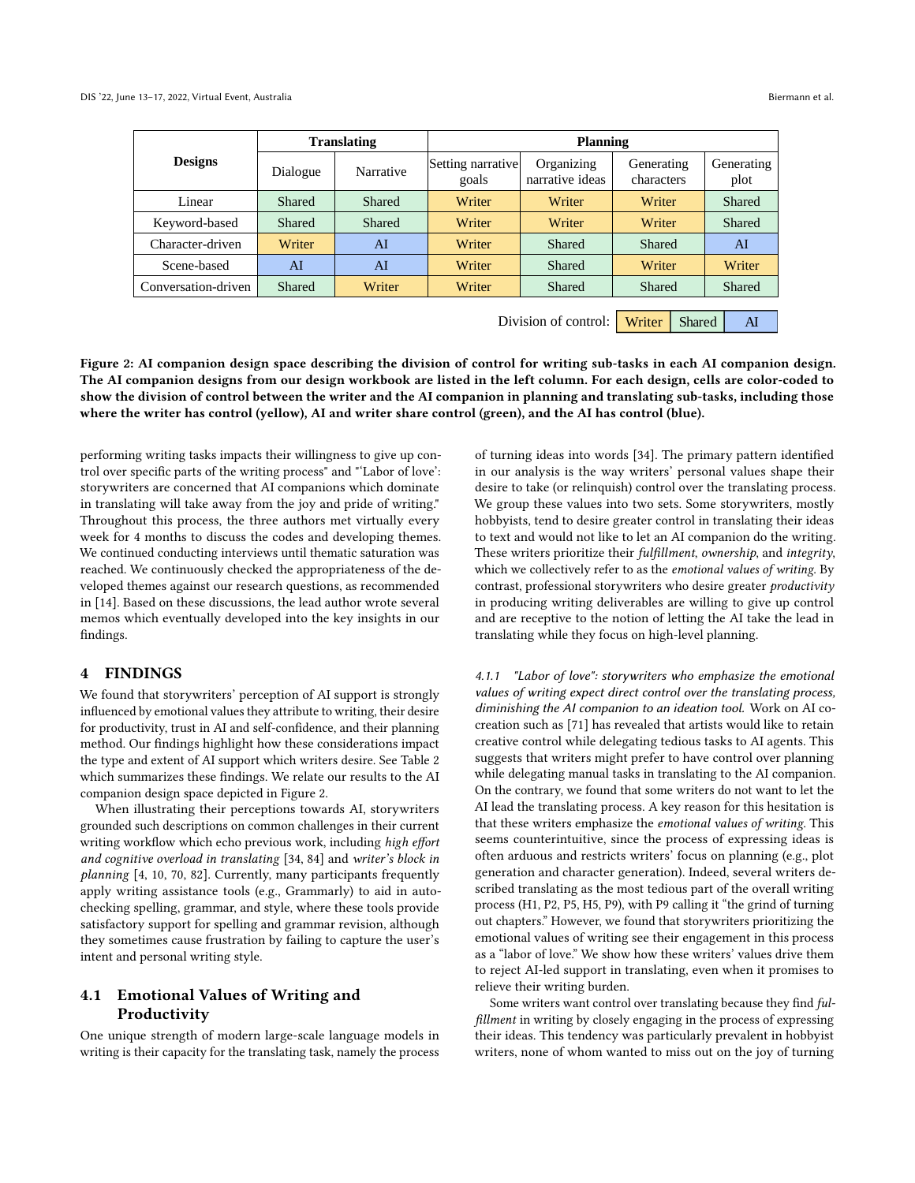<span id="page-7-0"></span>

|                     | <b>Translating</b> |           | <b>Planning</b>            |                               |                          |                    |
|---------------------|--------------------|-----------|----------------------------|-------------------------------|--------------------------|--------------------|
| <b>Designs</b>      | Dialogue           | Narrative | Setting narrative<br>goals | Organizing<br>narrative ideas | Generating<br>characters | Generating<br>plot |
| Linear              | <b>Shared</b>      | Shared    | Writer                     | Writer                        | Writer                   | <b>Shared</b>      |
| Keyword-based       | Shared             | Shared    | Writer                     | Writer                        | Writer                   | Shared             |
| Character-driven    | Writer             | AI        | Writer                     | Shared                        | Shared                   | AI                 |
| Scene-based         | AI                 | AI        | Writer                     | <b>Shared</b>                 | Writer                   | Writer             |
| Conversation-driven | <b>Shared</b>      | Writer    | Writer                     | <b>Shared</b>                 | <b>Shared</b>            | Shared             |
|                     |                    |           |                            |                               |                          |                    |
|                     |                    |           | $\cdots$                   |                               |                          |                    |

Division of control: Writer | Shared | AI

Figure 2: AI companion design space describing the division of control for writing sub-tasks in each AI companion design. The AI companion designs from our design workbook are listed in the left column. For each design, cells are color-coded to show the division of control between the writer and the AI companion in planning and translating sub-tasks, including those where the writer has control (yellow), AI and writer share control (green), and the AI has control (blue).

performing writing tasks impacts their willingness to give up control over specific parts of the writing process" and "'Labor of love': storywriters are concerned that AI companions which dominate in translating will take away from the joy and pride of writing." Throughout this process, the three authors met virtually every week for 4 months to discuss the codes and developing themes. We continued conducting interviews until thematic saturation was reached. We continuously checked the appropriateness of the developed themes against our research questions, as recommended in [\[14\]](#page-16-28). Based on these discussions, the lead author wrote several memos which eventually developed into the key insights in our findings.

#### **FINDINGS**

We found that storywriters' perception of AI support is strongly influenced by emotional values they attribute to writing, their desire for productivity, trust in AI and self-confidence, and their planning method. Our findings highlight how these considerations impact the type and extent of AI support which writers desire. See Table [2](#page-8-0) which summarizes these findings. We relate our results to the AI companion design space depicted in Figure [2.](#page-7-0)

When illustrating their perceptions towards AI, storywriters grounded such descriptions on common challenges in their current writing workflow which echo previous work, including high effort and cognitive overload in translating [\[34,](#page-16-2) [84\]](#page-18-2) and writer's block in planning [\[4,](#page-16-29) [10,](#page-16-30) [70,](#page-17-28) [82\]](#page-18-1). Currently, many participants frequently apply writing assistance tools (e.g., Grammarly) to aid in autochecking spelling, grammar, and style, where these tools provide satisfactory support for spelling and grammar revision, although they sometimes cause frustration by failing to capture the user's intent and personal writing style.

## 4.1 Emotional Values of Writing and Productivity

One unique strength of modern large-scale language models in writing is their capacity for the translating task, namely the process

of turning ideas into words [\[34\]](#page-16-2). The primary pattern identified in our analysis is the way writers' personal values shape their desire to take (or relinquish) control over the translating process. We group these values into two sets. Some storywriters, mostly hobbyists, tend to desire greater control in translating their ideas to text and would not like to let an AI companion do the writing. These writers prioritize their fulfillment, ownership, and integrity, which we collectively refer to as the emotional values of writing. By contrast, professional storywriters who desire greater productivity in producing writing deliverables are willing to give up control and are receptive to the notion of letting the AI take the lead in translating while they focus on high-level planning.

4.1.1 "Labor of love": storywriters who emphasize the emotional values of writing expect direct control over the translating process, diminishing the AI companion to an ideation tool. Work on AI cocreation such as [\[71\]](#page-17-16) has revealed that artists would like to retain creative control while delegating tedious tasks to AI agents. This suggests that writers might prefer to have control over planning while delegating manual tasks in translating to the AI companion. On the contrary, we found that some writers do not want to let the AI lead the translating process. A key reason for this hesitation is that these writers emphasize the emotional values of writing. This seems counterintuitive, since the process of expressing ideas is often arduous and restricts writers' focus on planning (e.g., plot generation and character generation). Indeed, several writers described translating as the most tedious part of the overall writing process (H1, P2, P5, H5, P9), with P9 calling it "the grind of turning out chapters." However, we found that storywriters prioritizing the emotional values of writing see their engagement in this process as a "labor of love." We show how these writers' values drive them to reject AI-led support in translating, even when it promises to relieve their writing burden.

Some writers want control over translating because they find fulfillment in writing by closely engaging in the process of expressing their ideas. This tendency was particularly prevalent in hobbyist writers, none of whom wanted to miss out on the joy of turning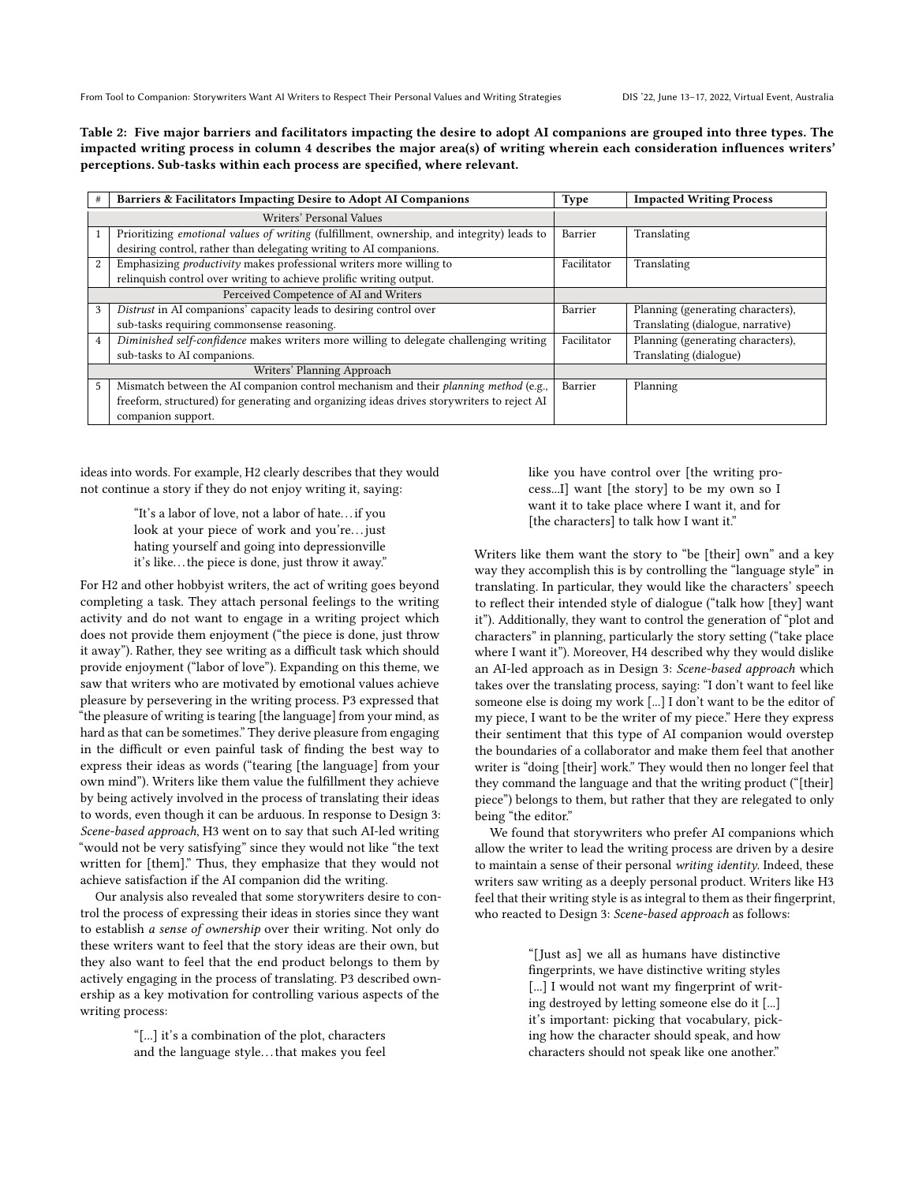<span id="page-8-0"></span>Table 2: Five major barriers and facilitators impacting the desire to adopt AI companions are grouped into three types. The impacted writing process in column 4 describes the major area(s) of writing wherein each consideration influences writers' perceptions. Sub-tasks within each process are specified, where relevant.

| #                                      | Barriers & Facilitators Impacting Desire to Adopt AI Companions                            | <b>Type</b> | <b>Impacted Writing Process</b>   |  |
|----------------------------------------|--------------------------------------------------------------------------------------------|-------------|-----------------------------------|--|
| Writers' Personal Values               |                                                                                            |             |                                   |  |
|                                        | Prioritizing emotional values of writing (fulfillment, ownership, and integrity) leads to  | Barrier     | Translating                       |  |
|                                        | desiring control, rather than delegating writing to AI companions.                         |             |                                   |  |
| 2                                      | Emphasizing <i>productivity</i> makes professional writers more willing to                 |             | Translating                       |  |
|                                        | relinquish control over writing to achieve prolific writing output.                        |             |                                   |  |
| Perceived Competence of AI and Writers |                                                                                            |             |                                   |  |
| 3                                      | Distrust in AI companions' capacity leads to desiring control over                         | Barrier     | Planning (generating characters), |  |
|                                        | sub-tasks requiring commonsense reasoning.                                                 |             | Translating (dialogue, narrative) |  |
| $\overline{4}$                         | Diminished self-confidence makes writers more willing to delegate challenging writing      | Facilitator | Planning (generating characters), |  |
|                                        | sub-tasks to AI companions.                                                                |             | Translating (dialogue)            |  |
| Writers' Planning Approach             |                                                                                            |             |                                   |  |
| 5                                      | Mismatch between the AI companion control mechanism and their planning method (e.g.,       | Barrier     | Planning                          |  |
|                                        | freeform, structured) for generating and organizing ideas drives storywriters to reject AI |             |                                   |  |
|                                        | companion support.                                                                         |             |                                   |  |

ideas into words. For example, H2 clearly describes that they would not continue a story if they do not enjoy writing it, saying:

> "It's a labor of love, not a labor of hate. . .if you look at your piece of work and you're... just hating yourself and going into depressionville it's like. . . the piece is done, just throw it away."

For H2 and other hobbyist writers, the act of writing goes beyond completing a task. They attach personal feelings to the writing activity and do not want to engage in a writing project which does not provide them enjoyment ("the piece is done, just throw it away"). Rather, they see writing as a difficult task which should provide enjoyment ("labor of love"). Expanding on this theme, we saw that writers who are motivated by emotional values achieve pleasure by persevering in the writing process. P3 expressed that "the pleasure of writing is tearing [the language] from your mind, as hard as that can be sometimes." They derive pleasure from engaging in the difficult or even painful task of finding the best way to express their ideas as words ("tearing [the language] from your own mind"). Writers like them value the fulfillment they achieve by being actively involved in the process of translating their ideas to words, even though it can be arduous. In response to Design 3: Scene-based approach, H3 went on to say that such AI-led writing "would not be very satisfying" since they would not like "the text written for [them]." Thus, they emphasize that they would not achieve satisfaction if the AI companion did the writing.

Our analysis also revealed that some storywriters desire to control the process of expressing their ideas in stories since they want to establish a sense of ownership over their writing. Not only do these writers want to feel that the story ideas are their own, but they also want to feel that the end product belongs to them by actively engaging in the process of translating. P3 described ownership as a key motivation for controlling various aspects of the writing process:

> "[...] it's a combination of the plot, characters and the language style. . . that makes you feel

like you have control over [the writing process...I] want [the story] to be my own so I want it to take place where I want it, and for [the characters] to talk how I want it."

Writers like them want the story to "be [their] own" and a key way they accomplish this is by controlling the "language style" in translating. In particular, they would like the characters' speech to reflect their intended style of dialogue ("talk how [they] want it"). Additionally, they want to control the generation of "plot and characters" in planning, particularly the story setting ("take place where I want it"). Moreover, H4 described why they would dislike an AI-led approach as in Design 3: Scene-based approach which takes over the translating process, saying: "I don't want to feel like someone else is doing my work [...] I don't want to be the editor of my piece, I want to be the writer of my piece." Here they express their sentiment that this type of AI companion would overstep the boundaries of a collaborator and make them feel that another writer is "doing [their] work." They would then no longer feel that they command the language and that the writing product ("[their] piece") belongs to them, but rather that they are relegated to only being "the editor."

We found that storywriters who prefer AI companions which allow the writer to lead the writing process are driven by a desire to maintain a sense of their personal writing identity. Indeed, these writers saw writing as a deeply personal product. Writers like H3 feel that their writing style is as integral to them as their fingerprint, who reacted to Design 3: Scene-based approach as follows:

> "[Just as] we all as humans have distinctive fingerprints, we have distinctive writing styles [...] I would not want my fingerprint of writing destroyed by letting someone else do it [...] it's important: picking that vocabulary, picking how the character should speak, and how characters should not speak like one another."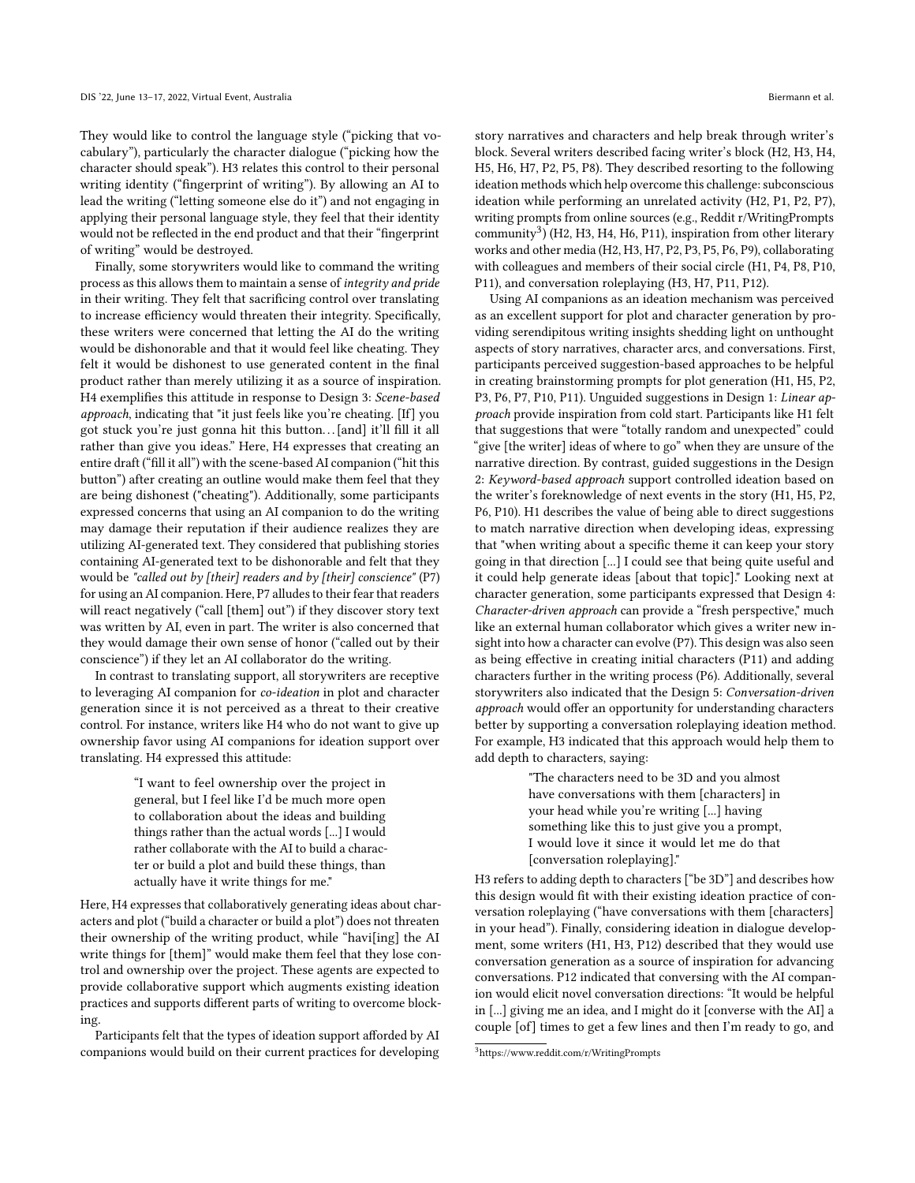They would like to control the language style ("picking that vocabulary"), particularly the character dialogue ("picking how the character should speak"). H3 relates this control to their personal writing identity ("fingerprint of writing"). By allowing an AI to lead the writing ("letting someone else do it") and not engaging in applying their personal language style, they feel that their identity would not be reflected in the end product and that their "fingerprint of writing" would be destroyed.

Finally, some storywriters would like to command the writing process as this allows them to maintain a sense of integrity and pride in their writing. They felt that sacrificing control over translating to increase efficiency would threaten their integrity. Specifically, these writers were concerned that letting the AI do the writing would be dishonorable and that it would feel like cheating. They felt it would be dishonest to use generated content in the final product rather than merely utilizing it as a source of inspiration. H4 exemplifies this attitude in response to Design 3: Scene-based approach, indicating that "it just feels like you're cheating. [If] you got stuck you're just gonna hit this button. . . [and] it'll fill it all rather than give you ideas." Here, H4 expresses that creating an entire draft ("fill it all") with the scene-based AI companion ("hit this button") after creating an outline would make them feel that they are being dishonest ("cheating"). Additionally, some participants expressed concerns that using an AI companion to do the writing may damage their reputation if their audience realizes they are utilizing AI-generated text. They considered that publishing stories containing AI-generated text to be dishonorable and felt that they would be "called out by [their] readers and by [their] conscience" (P7) for using an AI companion. Here, P7 alludes to their fear that readers will react negatively ("call [them] out") if they discover story text was written by AI, even in part. The writer is also concerned that they would damage their own sense of honor ("called out by their conscience") if they let an AI collaborator do the writing.

In contrast to translating support, all storywriters are receptive to leveraging AI companion for co-ideation in plot and character generation since it is not perceived as a threat to their creative control. For instance, writers like H4 who do not want to give up ownership favor using AI companions for ideation support over translating. H4 expressed this attitude:

> "I want to feel ownership over the project in general, but I feel like I'd be much more open to collaboration about the ideas and building things rather than the actual words [...] I would rather collaborate with the AI to build a character or build a plot and build these things, than actually have it write things for me."

Here, H4 expresses that collaboratively generating ideas about characters and plot ("build a character or build a plot") does not threaten their ownership of the writing product, while "havi[ing] the AI write things for [them]" would make them feel that they lose control and ownership over the project. These agents are expected to provide collaborative support which augments existing ideation practices and supports different parts of writing to overcome blocking.

Participants felt that the types of ideation support afforded by AI companions would build on their current practices for developing story narratives and characters and help break through writer's block. Several writers described facing writer's block (H2, H3, H4, H5, H6, H7, P2, P5, P8). They described resorting to the following ideation methods which help overcome this challenge: subconscious ideation while performing an unrelated activity (H2, P1, P2, P7), writing prompts from online sources (e.g., Reddit r/WritingPrompts community<sup>[3](#page-9-0)</sup>) (H2, H3, H4, H6, P11), inspiration from other literary works and other media (H2, H3, H7, P2, P3, P5, P6, P9), collaborating with colleagues and members of their social circle (H1, P4, P8, P10, P11), and conversation roleplaying (H3, H7, P11, P12).

Using AI companions as an ideation mechanism was perceived as an excellent support for plot and character generation by providing serendipitous writing insights shedding light on unthought aspects of story narratives, character arcs, and conversations. First, participants perceived suggestion-based approaches to be helpful in creating brainstorming prompts for plot generation (H1, H5, P2, P3, P6, P7, P10, P11). Unguided suggestions in Design 1: Linear approach provide inspiration from cold start. Participants like H1 felt that suggestions that were "totally random and unexpected" could "give [the writer] ideas of where to go" when they are unsure of the narrative direction. By contrast, guided suggestions in the Design 2: Keyword-based approach support controlled ideation based on the writer's foreknowledge of next events in the story (H1, H5, P2, P6, P10). H1 describes the value of being able to direct suggestions to match narrative direction when developing ideas, expressing that "when writing about a specific theme it can keep your story going in that direction [...] I could see that being quite useful and it could help generate ideas [about that topic]." Looking next at character generation, some participants expressed that Design 4: Character-driven approach can provide a "fresh perspective," much like an external human collaborator which gives a writer new insight into how a character can evolve (P7). This design was also seen as being effective in creating initial characters (P11) and adding characters further in the writing process (P6). Additionally, several storywriters also indicated that the Design 5: Conversation-driven approach would offer an opportunity for understanding characters better by supporting a conversation roleplaying ideation method. For example, H3 indicated that this approach would help them to add depth to characters, saying:

> "The characters need to be 3D and you almost have conversations with them [characters] in your head while you're writing [...] having something like this to just give you a prompt, I would love it since it would let me do that [conversation roleplaying]."

H3 refers to adding depth to characters ["be 3D"] and describes how this design would fit with their existing ideation practice of conversation roleplaying ("have conversations with them [characters] in your head"). Finally, considering ideation in dialogue development, some writers (H1, H3, P12) described that they would use conversation generation as a source of inspiration for advancing conversations. P12 indicated that conversing with the AI companion would elicit novel conversation directions: "It would be helpful in [...] giving me an idea, and I might do it [converse with the AI] a couple [of] times to get a few lines and then I'm ready to go, and

<span id="page-9-0"></span><sup>3</sup>https://www.reddit.com/r/WritingPrompts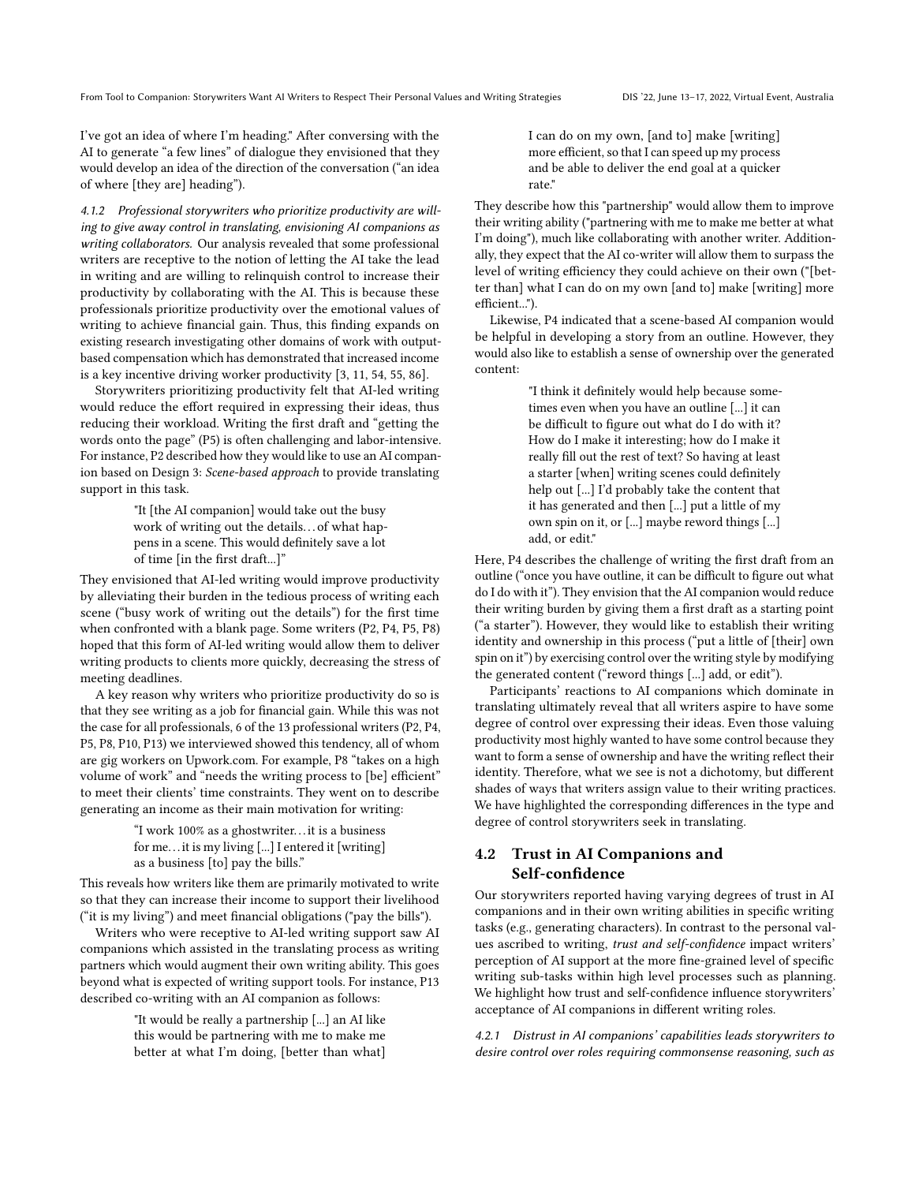I've got an idea of where I'm heading." After conversing with the AI to generate "a few lines" of dialogue they envisioned that they would develop an idea of the direction of the conversation ("an idea of where [they are] heading").

4.1.2 Professional storywriters who prioritize productivity are willing to give away control in translating, envisioning AI companions as writing collaborators. Our analysis revealed that some professional writers are receptive to the notion of letting the AI take the lead in writing and are willing to relinquish control to increase their productivity by collaborating with the AI. This is because these professionals prioritize productivity over the emotional values of writing to achieve financial gain. Thus, this finding expands on existing research investigating other domains of work with outputbased compensation which has demonstrated that increased income is a key incentive driving worker productivity [\[3,](#page-16-31) [11,](#page-16-32) [54,](#page-17-29) [55,](#page-17-30) [86\]](#page-18-22).

Storywriters prioritizing productivity felt that AI-led writing would reduce the effort required in expressing their ideas, thus reducing their workload. Writing the first draft and "getting the words onto the page" (P5) is often challenging and labor-intensive. For instance, P2 described how they would like to use an AI companion based on Design 3: Scene-based approach to provide translating support in this task.

> "It [the AI companion] would take out the busy work of writing out the details. . . of what happens in a scene. This would definitely save a lot of time [in the first draft...]"

They envisioned that AI-led writing would improve productivity by alleviating their burden in the tedious process of writing each scene ("busy work of writing out the details") for the first time when confronted with a blank page. Some writers (P2, P4, P5, P8) hoped that this form of AI-led writing would allow them to deliver writing products to clients more quickly, decreasing the stress of meeting deadlines.

A key reason why writers who prioritize productivity do so is that they see writing as a job for financial gain. While this was not the case for all professionals, 6 of the 13 professional writers (P2, P4, P5, P8, P10, P13) we interviewed showed this tendency, all of whom are gig workers on Upwork.com. For example, P8 "takes on a high volume of work" and "needs the writing process to [be] efficient" to meet their clients' time constraints. They went on to describe generating an income as their main motivation for writing:

> "I work 100% as a ghostwriter. . .it is a business for me. . .it is my living [...] I entered it [writing] as a business [to] pay the bills."

This reveals how writers like them are primarily motivated to write so that they can increase their income to support their livelihood ("it is my living") and meet financial obligations ("pay the bills").

Writers who were receptive to AI-led writing support saw AI companions which assisted in the translating process as writing partners which would augment their own writing ability. This goes beyond what is expected of writing support tools. For instance, P13 described co-writing with an AI companion as follows:

> "It would be really a partnership [...] an AI like this would be partnering with me to make me better at what I'm doing, [better than what]

I can do on my own, [and to] make [writing] more efficient, so that I can speed up my process and be able to deliver the end goal at a quicker rate."

They describe how this "partnership" would allow them to improve their writing ability ("partnering with me to make me better at what I'm doing"), much like collaborating with another writer. Additionally, they expect that the AI co-writer will allow them to surpass the level of writing efficiency they could achieve on their own ("[better than] what I can do on my own [and to] make [writing] more efficient...").

Likewise, P4 indicated that a scene-based AI companion would be helpful in developing a story from an outline. However, they would also like to establish a sense of ownership over the generated content:

> "I think it definitely would help because sometimes even when you have an outline [...] it can be difficult to figure out what do I do with it? How do I make it interesting; how do I make it really fill out the rest of text? So having at least a starter [when] writing scenes could definitely help out [...] I'd probably take the content that it has generated and then [...] put a little of my own spin on it, or [...] maybe reword things [...] add, or edit."

Here, P4 describes the challenge of writing the first draft from an outline ("once you have outline, it can be difficult to figure out what do I do with it"). They envision that the AI companion would reduce their writing burden by giving them a first draft as a starting point ("a starter"). However, they would like to establish their writing identity and ownership in this process ("put a little of [their] own spin on it") by exercising control over the writing style by modifying the generated content ("reword things [...] add, or edit").

Participants' reactions to AI companions which dominate in translating ultimately reveal that all writers aspire to have some degree of control over expressing their ideas. Even those valuing productivity most highly wanted to have some control because they want to form a sense of ownership and have the writing reflect their identity. Therefore, what we see is not a dichotomy, but different shades of ways that writers assign value to their writing practices. We have highlighted the corresponding differences in the type and degree of control storywriters seek in translating.

## <span id="page-10-1"></span>4.2 Trust in AI Companions and Self-confidence

Our storywriters reported having varying degrees of trust in AI companions and in their own writing abilities in specific writing tasks (e.g., generating characters). In contrast to the personal values ascribed to writing, trust and self-confidence impact writers' perception of AI support at the more fine-grained level of specific writing sub-tasks within high level processes such as planning. We highlight how trust and self-confidence influence storywriters' acceptance of AI companions in different writing roles.

<span id="page-10-0"></span>4.2.1 Distrust in AI companions' capabilities leads storywriters to desire control over roles requiring commonsense reasoning, such as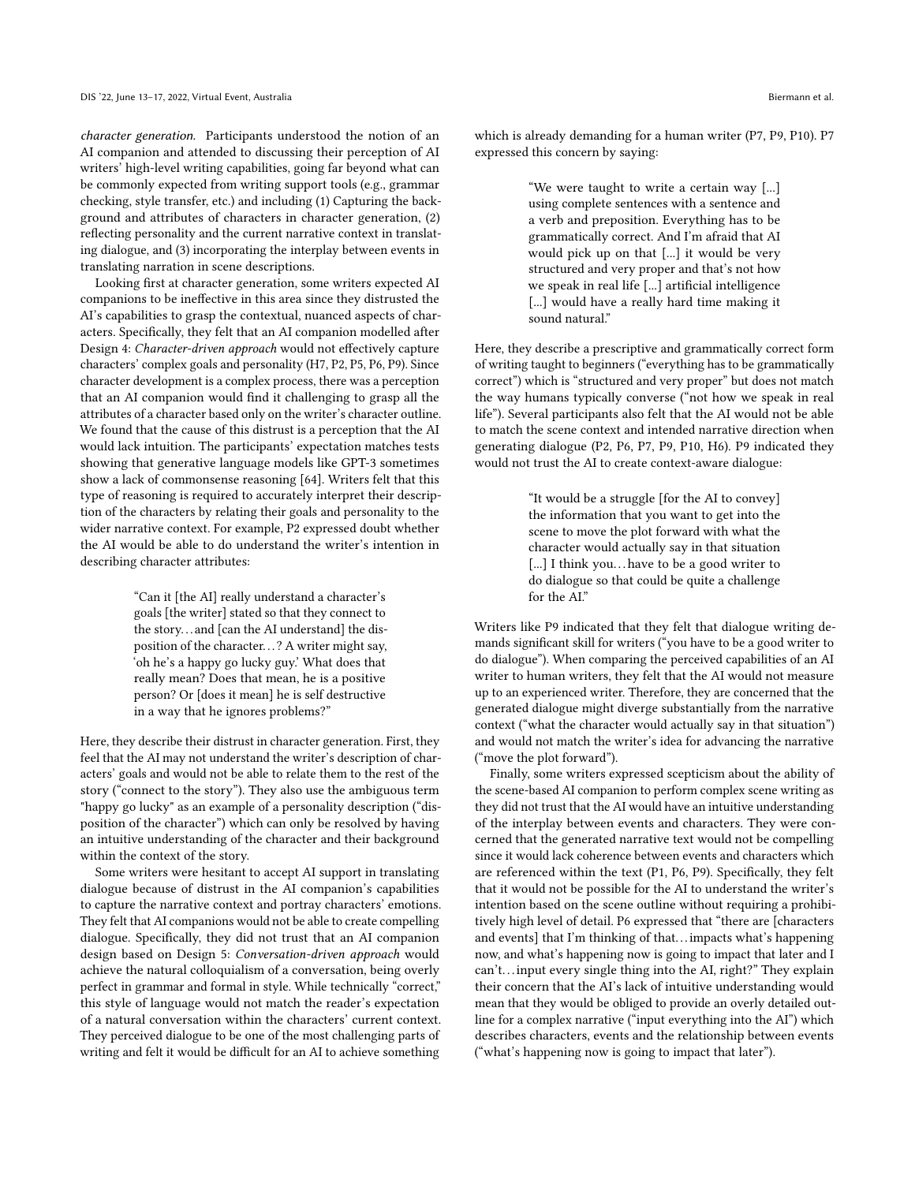character generation. Participants understood the notion of an AI companion and attended to discussing their perception of AI writers' high-level writing capabilities, going far beyond what can be commonly expected from writing support tools (e.g., grammar checking, style transfer, etc.) and including (1) Capturing the background and attributes of characters in character generation, (2) reflecting personality and the current narrative context in translating dialogue, and (3) incorporating the interplay between events in translating narration in scene descriptions.

Looking first at character generation, some writers expected AI companions to be ineffective in this area since they distrusted the AI's capabilities to grasp the contextual, nuanced aspects of characters. Specifically, they felt that an AI companion modelled after Design 4: Character-driven approach would not effectively capture characters' complex goals and personality (H7, P2, P5, P6, P9). Since character development is a complex process, there was a perception that an AI companion would find it challenging to grasp all the attributes of a character based only on the writer's character outline. We found that the cause of this distrust is a perception that the AI would lack intuition. The participants' expectation matches tests showing that generative language models like GPT-3 sometimes show a lack of commonsense reasoning [\[64\]](#page-17-31). Writers felt that this type of reasoning is required to accurately interpret their description of the characters by relating their goals and personality to the wider narrative context. For example, P2 expressed doubt whether the AI would be able to do understand the writer's intention in describing character attributes:

> "Can it [the AI] really understand a character's goals [the writer] stated so that they connect to the story. . . and [can the AI understand] the disposition of the character. . . ? A writer might say, 'oh he's a happy go lucky guy.' What does that really mean? Does that mean, he is a positive person? Or [does it mean] he is self destructive in a way that he ignores problems?"

Here, they describe their distrust in character generation. First, they feel that the AI may not understand the writer's description of characters' goals and would not be able to relate them to the rest of the story ("connect to the story"). They also use the ambiguous term "happy go lucky" as an example of a personality description ("disposition of the character") which can only be resolved by having an intuitive understanding of the character and their background within the context of the story.

Some writers were hesitant to accept AI support in translating dialogue because of distrust in the AI companion's capabilities to capture the narrative context and portray characters' emotions. They felt that AI companions would not be able to create compelling dialogue. Specifically, they did not trust that an AI companion design based on Design 5: Conversation-driven approach would achieve the natural colloquialism of a conversation, being overly perfect in grammar and formal in style. While technically "correct," this style of language would not match the reader's expectation of a natural conversation within the characters' current context. They perceived dialogue to be one of the most challenging parts of writing and felt it would be difficult for an AI to achieve something

which is already demanding for a human writer (P7, P9, P10). P7 expressed this concern by saying:

> "We were taught to write a certain way [...] using complete sentences with a sentence and a verb and preposition. Everything has to be grammatically correct. And I'm afraid that AI would pick up on that [...] it would be very structured and very proper and that's not how we speak in real life [...] artificial intelligence [...] would have a really hard time making it sound natural."

Here, they describe a prescriptive and grammatically correct form of writing taught to beginners ("everything has to be grammatically correct") which is "structured and very proper" but does not match the way humans typically converse ("not how we speak in real life"). Several participants also felt that the AI would not be able to match the scene context and intended narrative direction when generating dialogue (P2, P6, P7, P9, P10, H6). P9 indicated they would not trust the AI to create context-aware dialogue:

> "It would be a struggle [for the AI to convey] the information that you want to get into the scene to move the plot forward with what the character would actually say in that situation [...] I think you...have to be a good writer to do dialogue so that could be quite a challenge for the AI."

Writers like P9 indicated that they felt that dialogue writing demands significant skill for writers ("you have to be a good writer to do dialogue"). When comparing the perceived capabilities of an AI writer to human writers, they felt that the AI would not measure up to an experienced writer. Therefore, they are concerned that the generated dialogue might diverge substantially from the narrative context ("what the character would actually say in that situation") and would not match the writer's idea for advancing the narrative ("move the plot forward").

Finally, some writers expressed scepticism about the ability of the scene-based AI companion to perform complex scene writing as they did not trust that the AI would have an intuitive understanding of the interplay between events and characters. They were concerned that the generated narrative text would not be compelling since it would lack coherence between events and characters which are referenced within the text (P1, P6, P9). Specifically, they felt that it would not be possible for the AI to understand the writer's intention based on the scene outline without requiring a prohibitively high level of detail. P6 expressed that "there are [characters and events] that I'm thinking of that... impacts what's happening now, and what's happening now is going to impact that later and I can't. . .input every single thing into the AI, right?" They explain their concern that the AI's lack of intuitive understanding would mean that they would be obliged to provide an overly detailed outline for a complex narrative ("input everything into the AI") which describes characters, events and the relationship between events ("what's happening now is going to impact that later").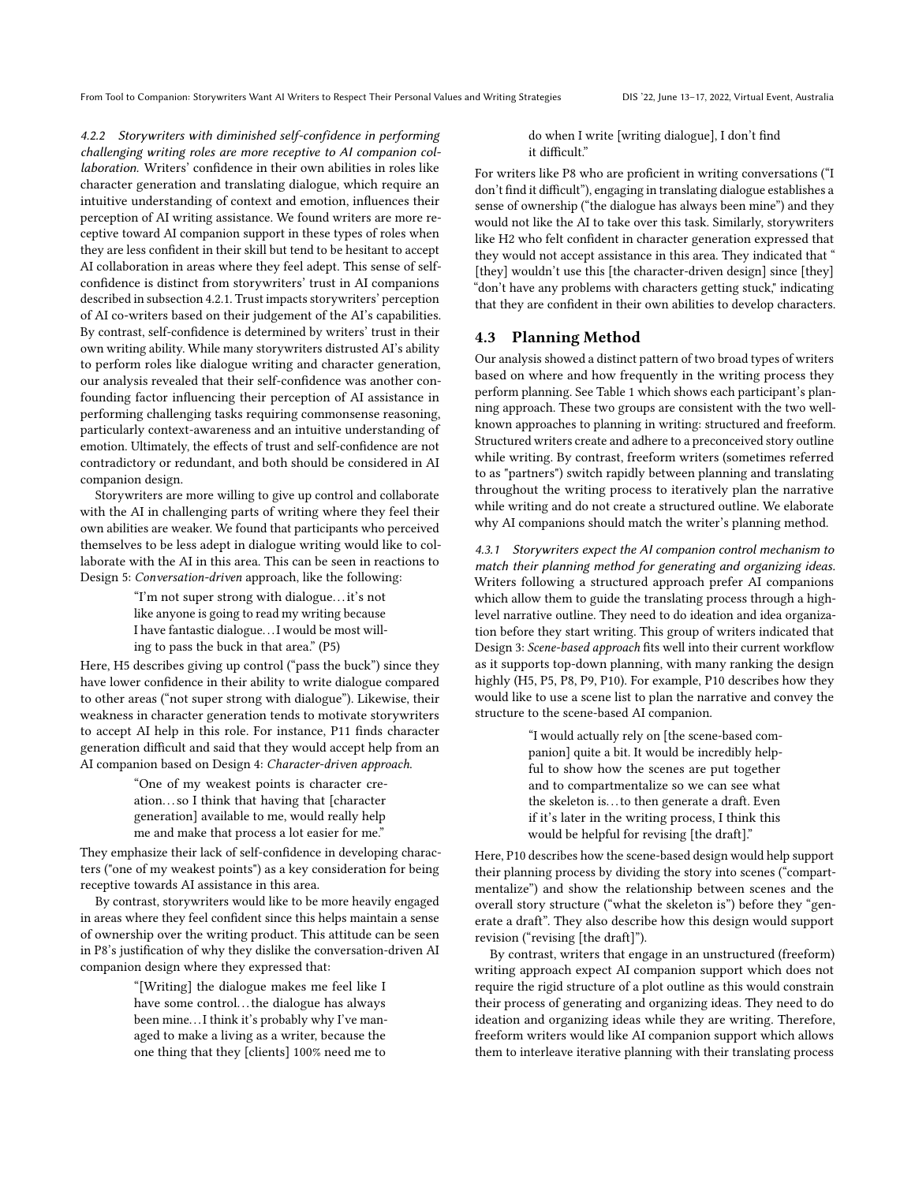4.2.2 Storywriters with diminished self-confidence in performing challenging writing roles are more receptive to AI companion collaboration. Writers' confidence in their own abilities in roles like character generation and translating dialogue, which require an intuitive understanding of context and emotion, influences their perception of AI writing assistance. We found writers are more receptive toward AI companion support in these types of roles when they are less confident in their skill but tend to be hesitant to accept AI collaboration in areas where they feel adept. This sense of selfconfidence is distinct from storywriters' trust in AI companions described in subsection [4.2.1.](#page-10-0) Trust impacts storywriters' perception of AI co-writers based on their judgement of the AI's capabilities. By contrast, self-confidence is determined by writers' trust in their own writing ability. While many storywriters distrusted AI's ability to perform roles like dialogue writing and character generation, our analysis revealed that their self-confidence was another confounding factor influencing their perception of AI assistance in performing challenging tasks requiring commonsense reasoning, particularly context-awareness and an intuitive understanding of emotion. Ultimately, the effects of trust and self-confidence are not contradictory or redundant, and both should be considered in AI companion design.

Storywriters are more willing to give up control and collaborate with the AI in challenging parts of writing where they feel their own abilities are weaker. We found that participants who perceived themselves to be less adept in dialogue writing would like to collaborate with the AI in this area. This can be seen in reactions to Design 5: Conversation-driven approach, like the following:

> "I'm not super strong with dialogue. . .it's not like anyone is going to read my writing because I have fantastic dialogue. . .I would be most willing to pass the buck in that area." (P5)

Here, H5 describes giving up control ("pass the buck") since they have lower confidence in their ability to write dialogue compared to other areas ("not super strong with dialogue"). Likewise, their weakness in character generation tends to motivate storywriters to accept AI help in this role. For instance, P11 finds character generation difficult and said that they would accept help from an AI companion based on Design 4: Character-driven approach.

> "One of my weakest points is character creation. . . so I think that having that [character generation] available to me, would really help me and make that process a lot easier for me."

They emphasize their lack of self-confidence in developing characters ("one of my weakest points") as a key consideration for being receptive towards AI assistance in this area.

By contrast, storywriters would like to be more heavily engaged in areas where they feel confident since this helps maintain a sense of ownership over the writing product. This attitude can be seen in P8's justification of why they dislike the conversation-driven AI companion design where they expressed that:

> "[Writing] the dialogue makes me feel like I have some control... the dialogue has always been mine. . .I think it's probably why I've managed to make a living as a writer, because the one thing that they [clients] 100% need me to

do when I write [writing dialogue], I don't find it difficult."

For writers like P8 who are proficient in writing conversations ("I don't find it difficult"), engaging in translating dialogue establishes a sense of ownership ("the dialogue has always been mine") and they would not like the AI to take over this task. Similarly, storywriters like H2 who felt confident in character generation expressed that they would not accept assistance in this area. They indicated that " [they] wouldn't use this [the character-driven design] since [they] "don't have any problems with characters getting stuck," indicating that they are confident in their own abilities to develop characters.

#### 4.3 Planning Method

Our analysis showed a distinct pattern of two broad types of writers based on where and how frequently in the writing process they perform planning. See Table [1](#page-4-1) which shows each participant's planning approach. These two groups are consistent with the two wellknown approaches to planning in writing: structured and freeform. Structured writers create and adhere to a preconceived story outline while writing. By contrast, freeform writers (sometimes referred to as "partners") switch rapidly between planning and translating throughout the writing process to iteratively plan the narrative while writing and do not create a structured outline. We elaborate why AI companions should match the writer's planning method.

4.3.1 Storywriters expect the AI companion control mechanism to match their planning method for generating and organizing ideas. Writers following a structured approach prefer AI companions which allow them to guide the translating process through a highlevel narrative outline. They need to do ideation and idea organization before they start writing. This group of writers indicated that Design 3: Scene-based approach fits well into their current workflow as it supports top-down planning, with many ranking the design highly (H5, P5, P8, P9, P10). For example, P10 describes how they would like to use a scene list to plan the narrative and convey the structure to the scene-based AI companion.

> "I would actually rely on [the scene-based companion] quite a bit. It would be incredibly helpful to show how the scenes are put together and to compartmentalize so we can see what the skeleton is. . . to then generate a draft. Even if it's later in the writing process, I think this would be helpful for revising [the draft]."

Here, P10 describes how the scene-based design would help support their planning process by dividing the story into scenes ("compartmentalize") and show the relationship between scenes and the overall story structure ("what the skeleton is") before they "generate a draft". They also describe how this design would support revision ("revising [the draft]").

By contrast, writers that engage in an unstructured (freeform) writing approach expect AI companion support which does not require the rigid structure of a plot outline as this would constrain their process of generating and organizing ideas. They need to do ideation and organizing ideas while they are writing. Therefore, freeform writers would like AI companion support which allows them to interleave iterative planning with their translating process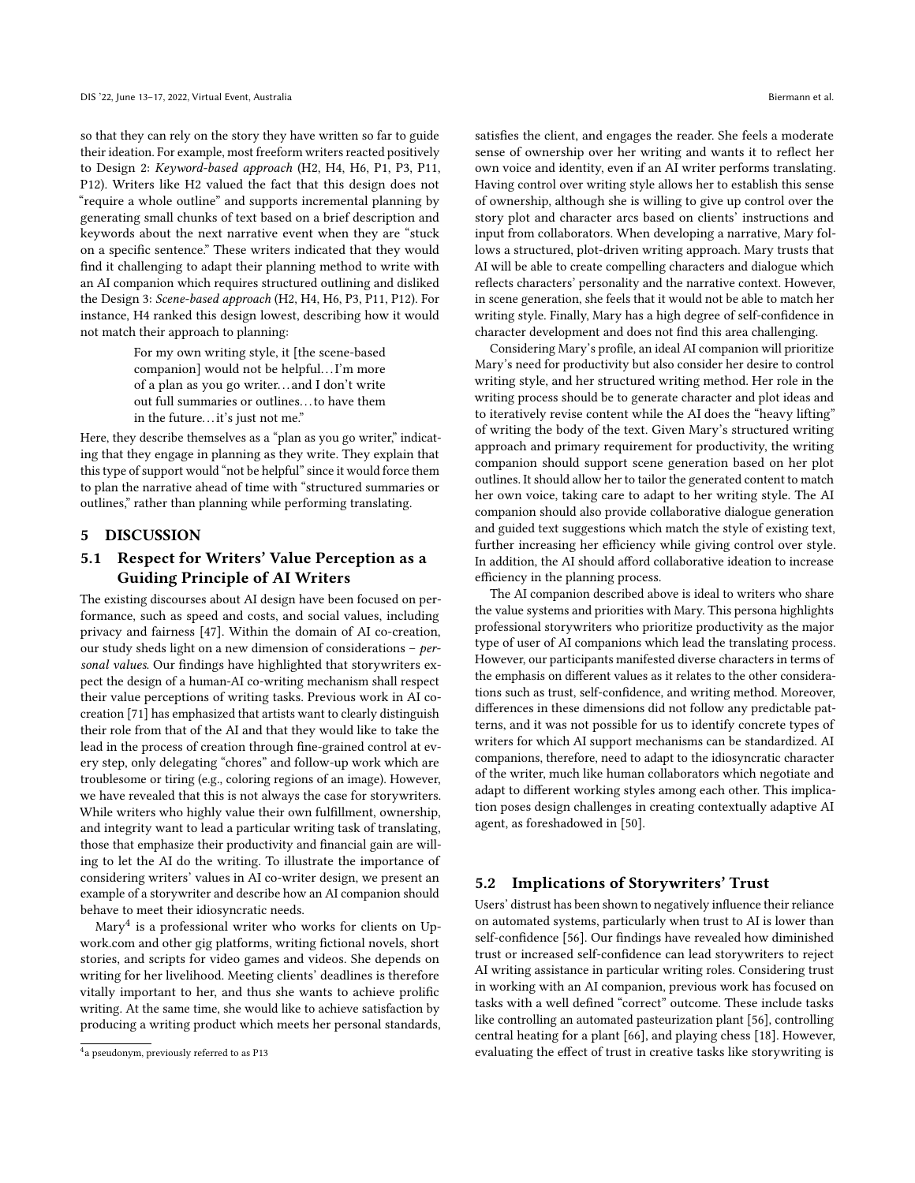so that they can rely on the story they have written so far to guide their ideation. For example, most freeform writers reacted positively to Design 2: Keyword-based approach (H2, H4, H6, P1, P3, P11, P12). Writers like H2 valued the fact that this design does not "require a whole outline" and supports incremental planning by generating small chunks of text based on a brief description and keywords about the next narrative event when they are "stuck on a specific sentence." These writers indicated that they would find it challenging to adapt their planning method to write with an AI companion which requires structured outlining and disliked the Design 3: Scene-based approach (H2, H4, H6, P3, P11, P12). For instance, H4 ranked this design lowest, describing how it would not match their approach to planning:

> For my own writing style, it [the scene-based companion] would not be helpful. . .I'm more of a plan as you go writer. . . and I don't write out full summaries or outlines. . . to have them in the future...it's just not me."

Here, they describe themselves as a "plan as you go writer," indicating that they engage in planning as they write. They explain that this type of support would "not be helpful" since it would force them to plan the narrative ahead of time with "structured summaries or outlines," rather than planning while performing translating.

#### 5 DISCUSSION

## 5.1 Respect for Writers' Value Perception as a Guiding Principle of AI Writers

The existing discourses about AI design have been focused on performance, such as speed and costs, and social values, including privacy and fairness [\[47\]](#page-17-32). Within the domain of AI co-creation, our study sheds light on a new dimension of considerations – personal values. Our findings have highlighted that storywriters expect the design of a human-AI co-writing mechanism shall respect their value perceptions of writing tasks. Previous work in AI cocreation [\[71\]](#page-17-16) has emphasized that artists want to clearly distinguish their role from that of the AI and that they would like to take the lead in the process of creation through fine-grained control at every step, only delegating "chores" and follow-up work which are troublesome or tiring (e.g., coloring regions of an image). However, we have revealed that this is not always the case for storywriters. While writers who highly value their own fulfillment, ownership, and integrity want to lead a particular writing task of translating, those that emphasize their productivity and financial gain are willing to let the AI do the writing. To illustrate the importance of considering writers' values in AI co-writer design, we present an example of a storywriter and describe how an AI companion should behave to meet their idiosyncratic needs.

Mary $^4$  $^4$  is a professional writer who works for clients on Upwork.com and other gig platforms, writing fictional novels, short stories, and scripts for video games and videos. She depends on writing for her livelihood. Meeting clients' deadlines is therefore vitally important to her, and thus she wants to achieve prolific writing. At the same time, she would like to achieve satisfaction by producing a writing product which meets her personal standards, satisfies the client, and engages the reader. She feels a moderate sense of ownership over her writing and wants it to reflect her own voice and identity, even if an AI writer performs translating. Having control over writing style allows her to establish this sense of ownership, although she is willing to give up control over the story plot and character arcs based on clients' instructions and input from collaborators. When developing a narrative, Mary follows a structured, plot-driven writing approach. Mary trusts that AI will be able to create compelling characters and dialogue which reflects characters' personality and the narrative context. However, in scene generation, she feels that it would not be able to match her writing style. Finally, Mary has a high degree of self-confidence in character development and does not find this area challenging.

Considering Mary's profile, an ideal AI companion will prioritize Mary's need for productivity but also consider her desire to control writing style, and her structured writing method. Her role in the writing process should be to generate character and plot ideas and to iteratively revise content while the AI does the "heavy lifting" of writing the body of the text. Given Mary's structured writing approach and primary requirement for productivity, the writing companion should support scene generation based on her plot outlines. It should allow her to tailor the generated content to match her own voice, taking care to adapt to her writing style. The AI companion should also provide collaborative dialogue generation and guided text suggestions which match the style of existing text, further increasing her efficiency while giving control over style. In addition, the AI should afford collaborative ideation to increase efficiency in the planning process.

The AI companion described above is ideal to writers who share the value systems and priorities with Mary. This persona highlights professional storywriters who prioritize productivity as the major type of user of AI companions which lead the translating process. However, our participants manifested diverse characters in terms of the emphasis on different values as it relates to the other considerations such as trust, self-confidence, and writing method. Moreover, differences in these dimensions did not follow any predictable patterns, and it was not possible for us to identify concrete types of writers for which AI support mechanisms can be standardized. AI companions, therefore, need to adapt to the idiosyncratic character of the writer, much like human collaborators which negotiate and adapt to different working styles among each other. This implication poses design challenges in creating contextually adaptive AI agent, as foreshadowed in [\[50\]](#page-17-33).

#### 5.2 Implications of Storywriters' Trust

Users' distrust has been shown to negatively influence their reliance on automated systems, particularly when trust to AI is lower than self-confidence [\[56\]](#page-17-34). Our findings have revealed how diminished trust or increased self-confidence can lead storywriters to reject AI writing assistance in particular writing roles. Considering trust in working with an AI companion, previous work has focused on tasks with a well defined "correct" outcome. These include tasks like controlling an automated pasteurization plant [\[56\]](#page-17-34), controlling central heating for a plant [\[66\]](#page-17-35), and playing chess [\[18\]](#page-16-33). However, evaluating the effect of trust in creative tasks like storywriting is

<span id="page-13-0"></span><sup>4</sup> a pseudonym, previously referred to as P13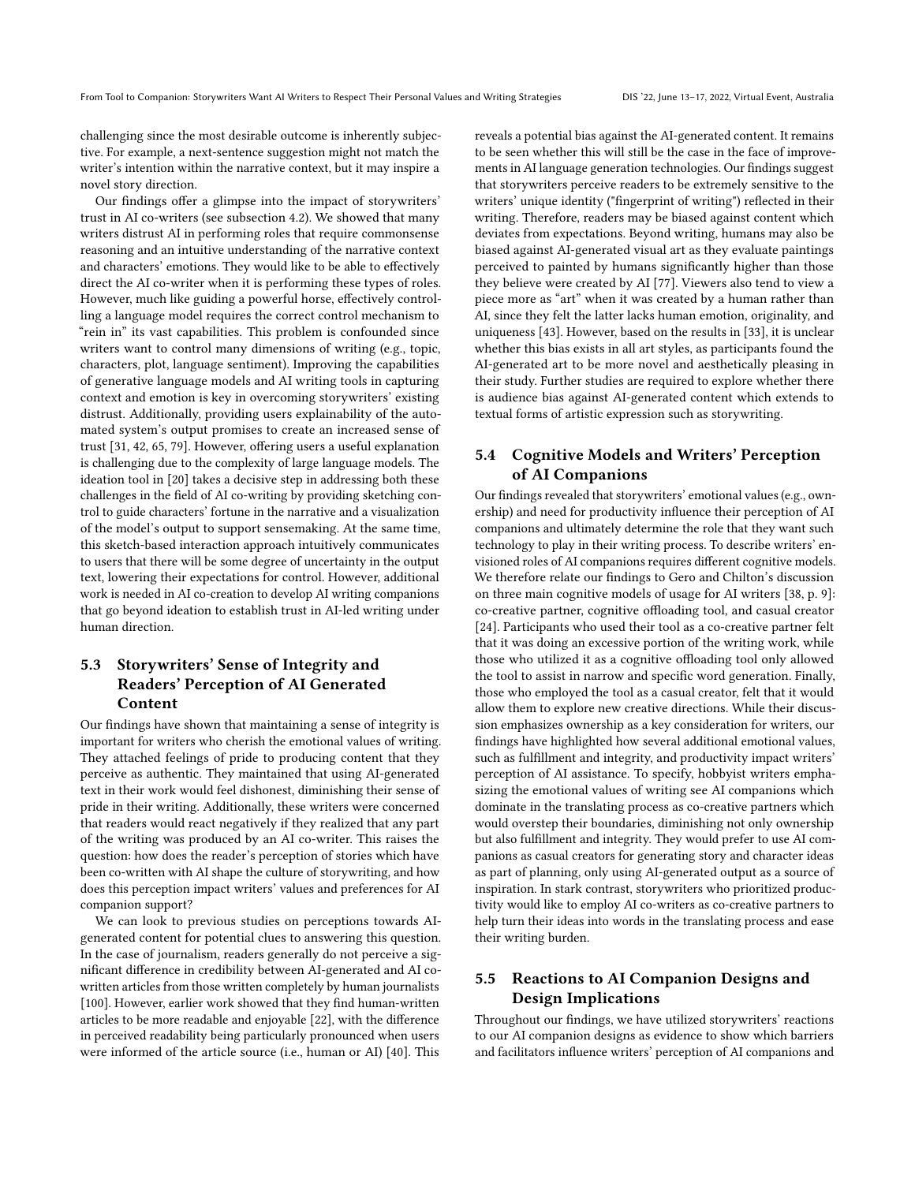challenging since the most desirable outcome is inherently subjective. For example, a next-sentence suggestion might not match the writer's intention within the narrative context, but it may inspire a novel story direction.

Our findings offer a glimpse into the impact of storywriters' trust in AI co-writers (see subsection [4.2\)](#page-10-1). We showed that many writers distrust AI in performing roles that require commonsense reasoning and an intuitive understanding of the narrative context and characters' emotions. They would like to be able to effectively direct the AI co-writer when it is performing these types of roles. However, much like guiding a powerful horse, effectively controlling a language model requires the correct control mechanism to "rein in" its vast capabilities. This problem is confounded since writers want to control many dimensions of writing (e.g., topic, characters, plot, language sentiment). Improving the capabilities of generative language models and AI writing tools in capturing context and emotion is key in overcoming storywriters' existing distrust. Additionally, providing users explainability of the automated system's output promises to create an increased sense of trust [\[31,](#page-16-34) [42,](#page-17-36) [65,](#page-17-19) [79\]](#page-17-37). However, offering users a useful explanation is challenging due to the complexity of large language models. The ideation tool in [\[20\]](#page-16-5) takes a decisive step in addressing both these challenges in the field of AI co-writing by providing sketching control to guide characters' fortune in the narrative and a visualization of the model's output to support sensemaking. At the same time, this sketch-based interaction approach intuitively communicates to users that there will be some degree of uncertainty in the output text, lowering their expectations for control. However, additional work is needed in AI co-creation to develop AI writing companions that go beyond ideation to establish trust in AI-led writing under human direction.

## 5.3 Storywriters' Sense of Integrity and Readers' Perception of AI Generated Content

Our findings have shown that maintaining a sense of integrity is important for writers who cherish the emotional values of writing. They attached feelings of pride to producing content that they perceive as authentic. They maintained that using AI-generated text in their work would feel dishonest, diminishing their sense of pride in their writing. Additionally, these writers were concerned that readers would react negatively if they realized that any part of the writing was produced by an AI co-writer. This raises the question: how does the reader's perception of stories which have been co-written with AI shape the culture of storywriting, and how does this perception impact writers' values and preferences for AI companion support?

We can look to previous studies on perceptions towards AIgenerated content for potential clues to answering this question. In the case of journalism, readers generally do not perceive a significant difference in credibility between AI-generated and AI cowritten articles from those written completely by human journalists [\[100\]](#page-18-23). However, earlier work showed that they find human-written articles to be more readable and enjoyable [\[22\]](#page-16-35), with the difference in perceived readability being particularly pronounced when users were informed of the article source (i.e., human or AI) [\[40\]](#page-17-38). This

reveals a potential bias against the AI-generated content. It remains to be seen whether this will still be the case in the face of improvements in AI language generation technologies. Our findings suggest that storywriters perceive readers to be extremely sensitive to the writers' unique identity ("fingerprint of writing") reflected in their writing. Therefore, readers may be biased against content which deviates from expectations. Beyond writing, humans may also be biased against AI-generated visual art as they evaluate paintings perceived to painted by humans significantly higher than those they believe were created by AI [\[77\]](#page-17-39). Viewers also tend to view a piece more as "art" when it was created by a human rather than AI, since they felt the latter lacks human emotion, originality, and uniqueness [\[43\]](#page-17-40). However, based on the results in [\[33\]](#page-16-36), it is unclear whether this bias exists in all art styles, as participants found the AI-generated art to be more novel and aesthetically pleasing in their study. Further studies are required to explore whether there is audience bias against AI-generated content which extends to textual forms of artistic expression such as storywriting.

## 5.4 Cognitive Models and Writers' Perception of AI Companions

Our findings revealed that storywriters' emotional values (e.g., ownership) and need for productivity influence their perception of AI companions and ultimately determine the role that they want such technology to play in their writing process. To describe writers' envisioned roles of AI companions requires different cognitive models. We therefore relate our findings to Gero and Chilton's discussion on three main cognitive models of usage for AI writers [\[38,](#page-16-1) p. 9]: co-creative partner, cognitive offloading tool, and casual creator [\[24\]](#page-16-14). Participants who used their tool as a co-creative partner felt that it was doing an excessive portion of the writing work, while those who utilized it as a cognitive offloading tool only allowed the tool to assist in narrow and specific word generation. Finally, those who employed the tool as a casual creator, felt that it would allow them to explore new creative directions. While their discussion emphasizes ownership as a key consideration for writers, our findings have highlighted how several additional emotional values, such as fulfillment and integrity, and productivity impact writers' perception of AI assistance. To specify, hobbyist writers emphasizing the emotional values of writing see AI companions which dominate in the translating process as co-creative partners which would overstep their boundaries, diminishing not only ownership but also fulfillment and integrity. They would prefer to use AI companions as casual creators for generating story and character ideas as part of planning, only using AI-generated output as a source of inspiration. In stark contrast, storywriters who prioritized productivity would like to employ AI co-writers as co-creative partners to help turn their ideas into words in the translating process and ease their writing burden.

## 5.5 Reactions to AI Companion Designs and Design Implications

Throughout our findings, we have utilized storywriters' reactions to our AI companion designs as evidence to show which barriers and facilitators influence writers' perception of AI companions and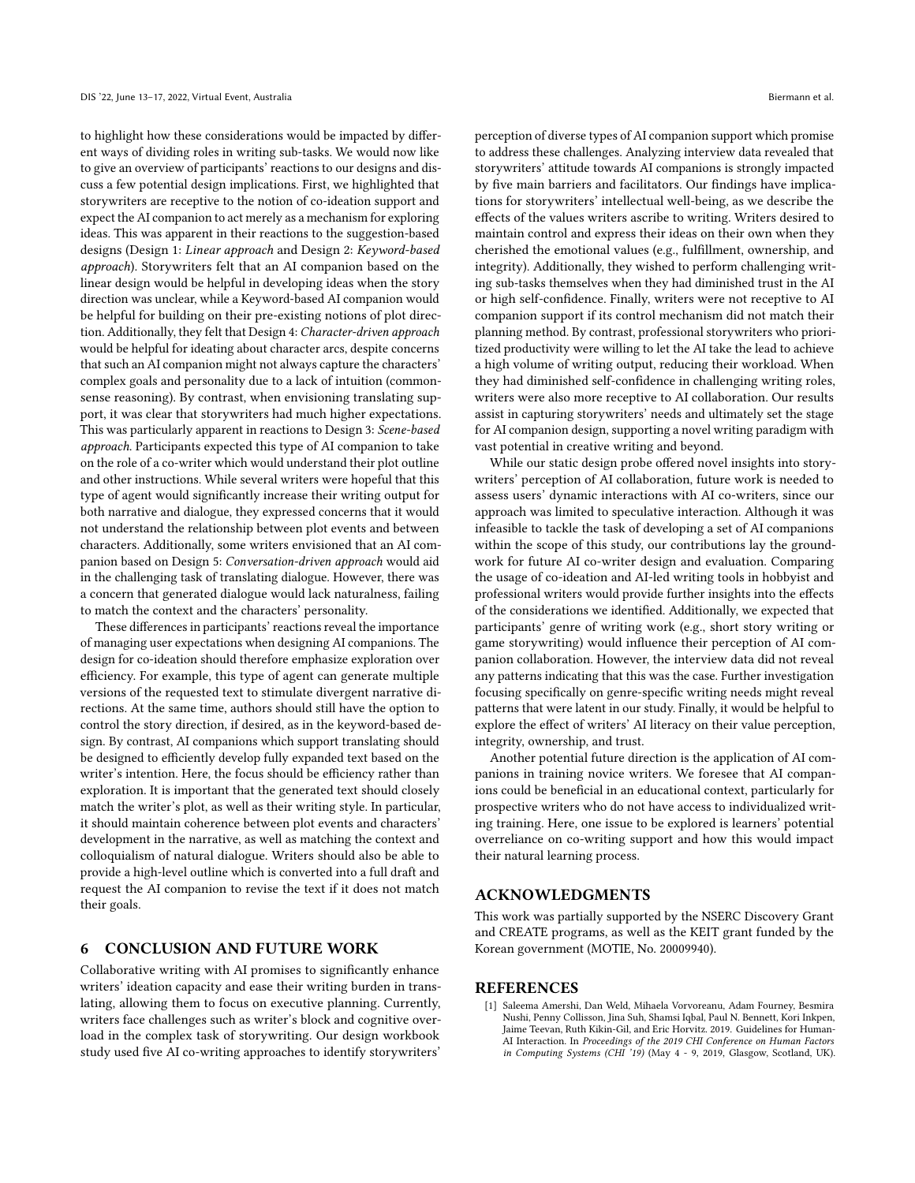to highlight how these considerations would be impacted by different ways of dividing roles in writing sub-tasks. We would now like to give an overview of participants' reactions to our designs and discuss a few potential design implications. First, we highlighted that storywriters are receptive to the notion of co-ideation support and expect the AI companion to act merely as a mechanism for exploring ideas. This was apparent in their reactions to the suggestion-based designs (Design 1: Linear approach and Design 2: Keyword-based approach). Storywriters felt that an AI companion based on the linear design would be helpful in developing ideas when the story direction was unclear, while a Keyword-based AI companion would be helpful for building on their pre-existing notions of plot direction. Additionally, they felt that Design 4: Character-driven approach would be helpful for ideating about character arcs, despite concerns that such an AI companion might not always capture the characters' complex goals and personality due to a lack of intuition (commonsense reasoning). By contrast, when envisioning translating support, it was clear that storywriters had much higher expectations. This was particularly apparent in reactions to Design 3: Scene-based approach. Participants expected this type of AI companion to take on the role of a co-writer which would understand their plot outline and other instructions. While several writers were hopeful that this type of agent would significantly increase their writing output for both narrative and dialogue, they expressed concerns that it would not understand the relationship between plot events and between characters. Additionally, some writers envisioned that an AI companion based on Design 5: Conversation-driven approach would aid in the challenging task of translating dialogue. However, there was a concern that generated dialogue would lack naturalness, failing to match the context and the characters' personality.

These differences in participants' reactions reveal the importance of managing user expectations when designing AI companions. The design for co-ideation should therefore emphasize exploration over efficiency. For example, this type of agent can generate multiple versions of the requested text to stimulate divergent narrative directions. At the same time, authors should still have the option to control the story direction, if desired, as in the keyword-based design. By contrast, AI companions which support translating should be designed to efficiently develop fully expanded text based on the writer's intention. Here, the focus should be efficiency rather than exploration. It is important that the generated text should closely match the writer's plot, as well as their writing style. In particular, it should maintain coherence between plot events and characters' development in the narrative, as well as matching the context and colloquialism of natural dialogue. Writers should also be able to provide a high-level outline which is converted into a full draft and request the AI companion to revise the text if it does not match their goals.

#### 6 CONCLUSION AND FUTURE WORK

Collaborative writing with AI promises to significantly enhance writers' ideation capacity and ease their writing burden in translating, allowing them to focus on executive planning. Currently, writers face challenges such as writer's block and cognitive overload in the complex task of storywriting. Our design workbook study used five AI co-writing approaches to identify storywriters'

perception of diverse types of AI companion support which promise to address these challenges. Analyzing interview data revealed that storywriters' attitude towards AI companions is strongly impacted by five main barriers and facilitators. Our findings have implications for storywriters' intellectual well-being, as we describe the effects of the values writers ascribe to writing. Writers desired to maintain control and express their ideas on their own when they cherished the emotional values (e.g., fulfillment, ownership, and integrity). Additionally, they wished to perform challenging writing sub-tasks themselves when they had diminished trust in the AI or high self-confidence. Finally, writers were not receptive to AI companion support if its control mechanism did not match their planning method. By contrast, professional storywriters who prioritized productivity were willing to let the AI take the lead to achieve a high volume of writing output, reducing their workload. When they had diminished self-confidence in challenging writing roles, writers were also more receptive to AI collaboration. Our results assist in capturing storywriters' needs and ultimately set the stage for AI companion design, supporting a novel writing paradigm with vast potential in creative writing and beyond.

While our static design probe offered novel insights into storywriters' perception of AI collaboration, future work is needed to assess users' dynamic interactions with AI co-writers, since our approach was limited to speculative interaction. Although it was infeasible to tackle the task of developing a set of AI companions within the scope of this study, our contributions lay the groundwork for future AI co-writer design and evaluation. Comparing the usage of co-ideation and AI-led writing tools in hobbyist and professional writers would provide further insights into the effects of the considerations we identified. Additionally, we expected that participants' genre of writing work (e.g., short story writing or game storywriting) would influence their perception of AI companion collaboration. However, the interview data did not reveal any patterns indicating that this was the case. Further investigation focusing specifically on genre-specific writing needs might reveal patterns that were latent in our study. Finally, it would be helpful to explore the effect of writers' AI literacy on their value perception, integrity, ownership, and trust.

Another potential future direction is the application of AI companions in training novice writers. We foresee that AI companions could be beneficial in an educational context, particularly for prospective writers who do not have access to individualized writing training. Here, one issue to be explored is learners' potential overreliance on co-writing support and how this would impact their natural learning process.

#### ACKNOWLEDGMENTS

This work was partially supported by the NSERC Discovery Grant and CREATE programs, as well as the KEIT grant funded by the Korean government (MOTIE, No. 20009940).

#### **REFERENCES**

<span id="page-15-0"></span>[1] Saleema Amershi, Dan Weld, Mihaela Vorvoreanu, Adam Fourney, Besmira Nushi, Penny Collisson, Jina Suh, Shamsi Iqbal, Paul N. Bennett, Kori Inkpen, Jaime Teevan, Ruth Kikin-Gil, and Eric Horvitz. 2019. Guidelines for Human-.<br>AI Interaction. In *Proceedings of the 2019 CHI Conference on Human Factors* in Computing Systems (CHI '19) (May 4 - 9, 2019, Glasgow, Scotland, UK).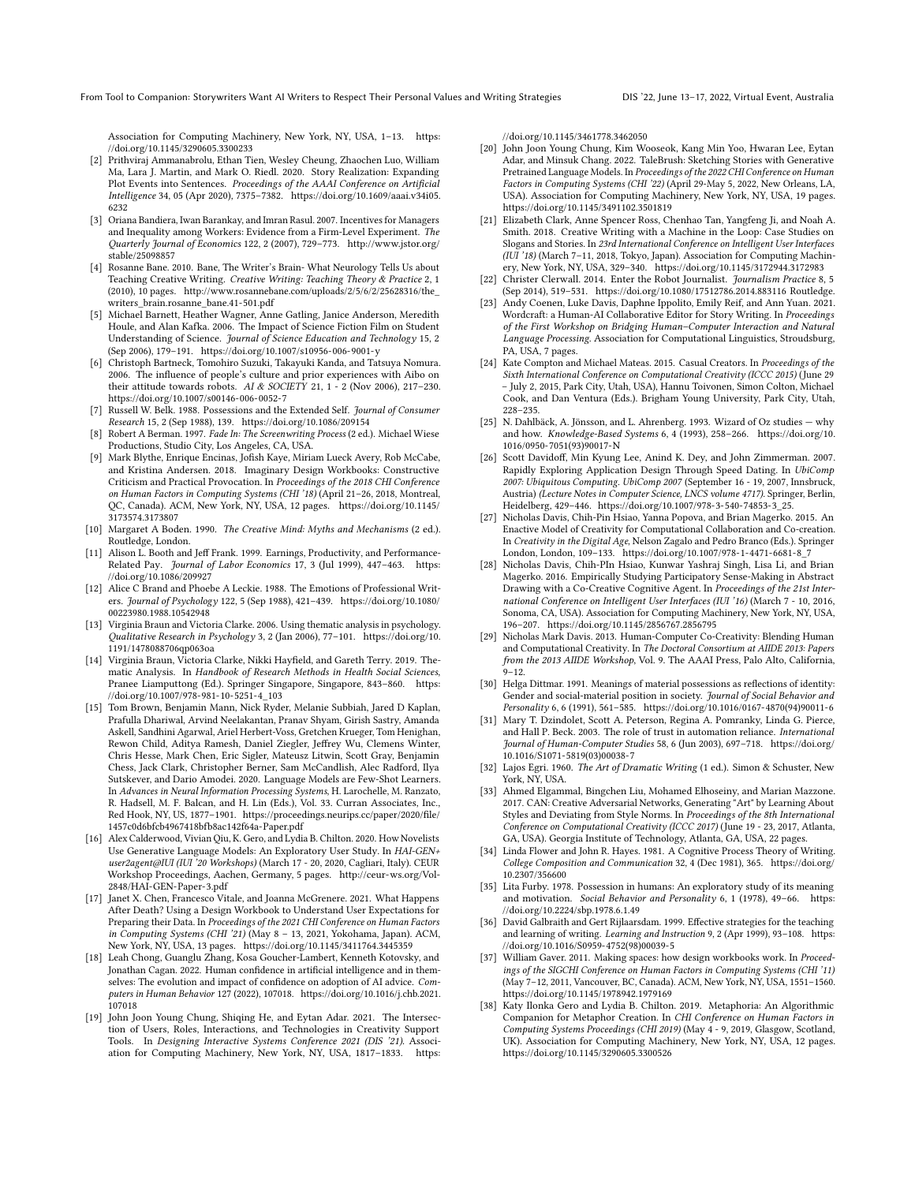Association for Computing Machinery, New York, NY, USA, 1–13. [https:](https://doi.org/10.1145/3290605.3300233) [//doi.org/10.1145/3290605.3300233](https://doi.org/10.1145/3290605.3300233)

- <span id="page-16-7"></span>[2] Prithviraj Ammanabrolu, Ethan Tien, Wesley Cheung, Zhaochen Luo, William Ma, Lara J. Martin, and Mark O. Riedl. 2020. Story Realization: Expanding Plot Events into Sentences. Proceedings of the AAAI Conference on Artificial Intelligence 34, 05 (Apr 2020), 7375–7382. [https://doi.org/10.1609/aaai.v34i05.](https://doi.org/10.1609/aaai.v34i05.6232) [6232](https://doi.org/10.1609/aaai.v34i05.6232)
- <span id="page-16-31"></span>[3] Oriana Bandiera, Iwan Barankay, and Imran Rasul. 2007. Incentives for Managers and Inequality among Workers: Evidence from a Firm-Level Experiment. The Quarterly Journal of Economics 122, 2 (2007), 729–773. [http://www.jstor.org/](http://www.jstor.org/stable/25098857) [stable/25098857](http://www.jstor.org/stable/25098857)
- <span id="page-16-29"></span>[4] Rosanne Bane. 2010. Bane, The Writer's Brain- What Neurology Tells Us about Teaching Creative Writing. Creative Writing: Teaching Theory & Practice 2, 1 (2010), 10 pages. [http://www.rosannebane.com/uploads/2/5/6/2/25628316/the\\_](http://www.rosannebane.com/uploads/2/5/6/2/25628316/the_writers_brain.rosanne_bane.41-501.pdf) [writers\\_brain.rosanne\\_bane.41-501.pdf](http://www.rosannebane.com/uploads/2/5/6/2/25628316/the_writers_brain.rosanne_bane.41-501.pdf)
- <span id="page-16-9"></span>[5] Michael Barnett, Heather Wagner, Anne Gatling, Janice Anderson, Meredith Houle, and Alan Kafka. 2006. The Impact of Science Fiction Film on Student Understanding of Science. Journal of Science Education and Technology 15, 2 (Sep 2006), 179–191.<https://doi.org/10.1007/s10956-006-9001-y>
- <span id="page-16-10"></span>[6] Christoph Bartneck, Tomohiro Suzuki, Takayuki Kanda, and Tatsuya Nomura. 2006. The influence of people's culture and prior experiences with Aibo on their attitude towards robots. AI & SOCIETY 21,  $1 - 2$  (Nov 2006), 217-230. <https://doi.org/10.1007/s00146-006-0052-7>
- <span id="page-16-18"></span>[7] Russell W. Belk. 1988. Possessions and the Extended Self. Journal of Consumer Research 15, 2 (Sep 1988), 139.<https://doi.org/10.1086/209154>
- <span id="page-16-25"></span>[8] Robert A Berman. 1997. Fade In: The Screenwriting Process (2 ed.). Michael Wiese Productions, Studio City, Los Angeles, CA, USA.
- <span id="page-16-21"></span>[9] Mark Blythe, Enrique Encinas, Jofish Kaye, Miriam Lueck Avery, Rob McCabe, and Kristina Andersen. 2018. Imaginary Design Workbooks: Constructive Criticism and Practical Provocation. In Proceedings of the 2018 CHI Conference on Human Factors in Computing Systems (CHI '18) (April 21–26, 2018, Montreal, QC, Canada). ACM, New York, NY, USA, 12 pages. [https://doi.org/10.1145/](https://doi.org/10.1145/3173574.3173807) [3173574.3173807](https://doi.org/10.1145/3173574.3173807)
- <span id="page-16-30"></span>[10] Margaret A Boden. 1990. The Creative Mind: Myths and Mechanisms (2 ed.). Routledge, London.
- <span id="page-16-32"></span>[11] Alison L. Booth and Jeff Frank. 1999. Earnings, Productivity, and PerformanceRelated Pay. Journal of Labor Economics 17, 3 (Jul 1999), 447-463. [https:](https://doi.org/10.1086/209927) [//doi.org/10.1086/209927](https://doi.org/10.1086/209927)
- <span id="page-16-3"></span>[12] Alice C Brand and Phoebe A Leckie. 1988. The Emotions of Professional Writers. Journal of Psychology 122, 5 (Sep 1988), 421–439. [https://doi.org/10.1080/](https://doi.org/10.1080/00223980.1988.10542948) [00223980.1988.10542948](https://doi.org/10.1080/00223980.1988.10542948)
- <span id="page-16-27"></span>[13] Virginia Braun and Victoria Clarke. 2006. Using thematic analysis in psychology. Qualitative Research in Psychology 3, 2 (Jan 2006), 77–101. [https://doi.org/10.](https://doi.org/10.1191/1478088706qp063oa) [1191/1478088706qp063oa](https://doi.org/10.1191/1478088706qp063oa)
- <span id="page-16-28"></span>[14] Virginia Braun, Victoria Clarke, Nikki Hayfield, and Gareth Terry. 2019. Thematic Analysis. In Handbook of Research Methods in Health Social Sciences, Pranee Liamputtong (Ed.). Springer Singapore, Singapore, 843–860. [https:](https://doi.org/10.1007/978-981-10-5251-4_103) [//doi.org/10.1007/978-981-10-5251-4\\_103](https://doi.org/10.1007/978-981-10-5251-4_103)
- <span id="page-16-0"></span>[15] Tom Brown, Benjamin Mann, Nick Ryder, Melanie Subbiah, Jared D Kaplan, Prafulla Dhariwal, Arvind Neelakantan, Pranav Shyam, Girish Sastry, Amanda Askell, Sandhini Agarwal, Ariel Herbert-Voss, Gretchen Krueger, Tom Henighan, Rewon Child, Aditya Ramesh, Daniel Ziegler, Jeffrey Wu, Clemens Winter, Chris Hesse, Mark Chen, Eric Sigler, Mateusz Litwin, Scott Gray, Benjamin Chess, Jack Clark, Christopher Berner, Sam McCandlish, Alec Radford, Ilya Sutskever, and Dario Amodei. 2020. Language Models are Few-Shot Learners. In Advances in Neural Information Processing Systems, H. Larochelle, M. Ranzato, R. Hadsell, M. F. Balcan, and H. Lin (Eds.), Vol. 33. Curran Associates, Inc., Red Hook, NY, US, 1877–1901. [https://proceedings.neurips.cc/paper/2020/file/](https://proceedings.neurips.cc/paper/2020/file/1457c0d6bfcb4967418bfb8ac142f64a-Paper.pdf) [1457c0d6bfcb4967418bfb8ac142f64a-Paper.pdf](https://proceedings.neurips.cc/paper/2020/file/1457c0d6bfcb4967418bfb8ac142f64a-Paper.pdf)
- <span id="page-16-4"></span>[16] Alex Calderwood, Vivian Qiu, K. Gero, and Lydia B. Chilton. 2020. How Novelists Use Generative Language Models: An Exploratory User Study. In HAI-GEN+ user2agent@IUI (IUI '20 Workshops) (March 17 - 20, 2020, Cagliari, Italy). CEUR Workshop Proceedings, Aachen, Germany, 5 pages. [http://ceur-ws.org/Vol-](http://ceur-ws.org/Vol-2848/HAI-GEN-Paper-3.pdf)[2848/HAI-GEN-Paper-3.pdf](http://ceur-ws.org/Vol-2848/HAI-GEN-Paper-3.pdf)
- <span id="page-16-22"></span>[17] Janet X. Chen, Francesco Vitale, and Joanna McGrenere. 2021. What Happens After Death? Using a Design Workbook to Understand User Expectations for Preparing their Data. In Proceedings of the 2021 CHI Conference on Human Factors in Computing Systems (CHI '21) (May 8 – 13, 2021, Yokohama, Japan). ACM, New York, NY, USA, 13 pages.<https://doi.org/10.1145/3411764.3445359>
- <span id="page-16-33"></span>[18] Leah Chong, Guanglu Zhang, Kosa Goucher-Lambert, Kenneth Kotovsky, and Jonathan Cagan. 2022. Human confidence in artificial intelligence and in themselves: The evolution and impact of confidence on adoption of AI advice. Computers in Human Behavior 127 (2022), 107018. [https://doi.org/10.1016/j.chb.2021.](https://doi.org/10.1016/j.chb.2021.107018) [107018](https://doi.org/10.1016/j.chb.2021.107018)
- <span id="page-16-12"></span>[19] John Joon Young Chung, Shiqing He, and Eytan Adar. 2021. The Intersection of Users, Roles, Interactions, and Technologies in Creativity Support Tools. In Designing Interactive Systems Conference 2021 (DIS '21). Association for Computing Machinery, New York, NY, USA, 1817–1833. [https:](https://doi.org/10.1145/3461778.3462050)

[//doi.org/10.1145/3461778.3462050](https://doi.org/10.1145/3461778.3462050)

- <span id="page-16-5"></span>[20] John Joon Young Chung, Kim Wooseok, Kang Min Yoo, Hwaran Lee, Eytan Adar, and Minsuk Chang. 2022. TaleBrush: Sketching Stories with Generative Pretrained Language Models. In Proceedings of the 2022 CHI Conference on Human Factors in Computing Systems (CHI '22) (April 29-May 5, 2022, New Orleans, LA, USA). Association for Computing Machinery, New York, NY, USA, 19 pages. <https://doi.org/10.1145/3491102.3501819>
- <span id="page-16-6"></span>[21] Elizabeth Clark, Anne Spencer Ross, Chenhao Tan, Yangfeng Ji, and Noah A. Smith. 2018. Creative Writing with a Machine in the Loop: Case Studies on Slogans and Stories. In 23rd International Conference on Intelligent User Interfaces (IUI '18) (March 7–11, 2018, Tokyo, Japan). Association for Computing Machinery, New York, NY, USA, 329–340.<https://doi.org/10.1145/3172944.3172983>
- <span id="page-16-35"></span>[22] Christer Clerwall. 2014. Enter the Robot Journalist. Journalism Practice 8, 5 (Sep 2014), 519–531.<https://doi.org/10.1080/17512786.2014.883116> Routledge.
- <span id="page-16-8"></span>[23] Andy Coenen, Luke Davis, Daphne Ippolito, Emily Reif, and Ann Yuan. 2021. Wordcraft: a Human-AI Collaborative Editor for Story Writing. In Proceedings of the First Workshop on Bridging Human–Computer Interaction and Natural Language Processing. Association for Computational Linguistics, Stroudsburg, PA, USA, 7 pages.
- <span id="page-16-14"></span>[24] Kate Compton and Michael Mateas. 2015. Casual Creators. In Proceedings of the Sixth International Conference on Computational Creativity (ICCC 2015) (June 29 – July 2, 2015, Park City, Utah, USA), Hannu Toivonen, Simon Colton, Michael Cook, and Dan Ventura (Eds.). Brigham Young University, Park City, Utah, 228–235.
- <span id="page-16-24"></span>[25] N. Dahlbäck, A. Jönsson, and L. Ahrenberg. 1993. Wizard of Oz studies — why and how. Knowledge-Based Systems 6, 4 (1993), 258-266. [https://doi.org/10.](https://doi.org/10.1016/0950-7051(93)90017-N) [1016/0950-7051\(93\)90017-N](https://doi.org/10.1016/0950-7051(93)90017-N)
- <span id="page-16-23"></span>[26] Scott Davidoff, Min Kyung Lee, Anind K. Dey, and John Zimmerman. 2007. Rapidly Exploring Application Design Through Speed Dating. In UbiComp 2007: Ubiquitous Computing. UbiComp 2007 (September 16 - 19, 2007, Innsbruck, Austria) (Lecture Notes in Computer Science, LNCS volume 4717). Springer, Berlin, Heidelberg, 429–446. [https://doi.org/10.1007/978-3-540-74853-3\\_25.](https://doi.org/10.1007/978-3-540-74853-3_25.)
- <span id="page-16-11"></span>[27] Nicholas Davis, Chih-Pin Hsiao, Yanna Popova, and Brian Magerko. 2015. An Enactive Model of Creativity for Computational Collaboration and Co-creation. In Creativity in the Digital Age, Nelson Zagalo and Pedro Branco (Eds.). Springer London, London, 109–133. [https://doi.org/10.1007/978-1-4471-6681-8\\_7](https://doi.org/10.1007/978-1-4471-6681-8_7)
- <span id="page-16-13"></span>[28] Nicholas Davis, Chih-PIn Hsiao, Kunwar Yashraj Singh, Lisa Li, and Brian Magerko. 2016. Empirically Studying Participatory Sense-Making in Abstract Drawing with a Co-Creative Cognitive Agent. In Proceedings of the 21st International Conference on Intelligent User Interfaces (IUI '16) (March 7 - 10, 2016, Sonoma, CA, USA). Association for Computing Machinery, New York, NY, USA, 196–207.<https://doi.org/10.1145/2856767.2856795>
- <span id="page-16-15"></span>[29] Nicholas Mark Davis. 2013. Human-Computer Co-Creativity: Blending Human and Computational Creativity. In The Doctoral Consortium at AIIDE 2013: Papers from the 2013 AIIDE Workshop, Vol. 9. The AAAI Press, Palo Alto, California,  $9 - 12.$
- <span id="page-16-17"></span>[30] Helga Dittmar. 1991. Meanings of material possessions as reflections of identity: Gender and social-material position in society. Journal of Social Behavior and Personality 6, 6 (1991), 561–585. [https://doi.org/10.1016/0167-4870\(94\)90011-6](https://doi.org/10.1016/0167-4870(94)90011-6)
- <span id="page-16-34"></span>[31] Mary T. Dzindolet, Scott A. Peterson, Regina A. Pomranky, Linda G. Pierce, and Hall P. Beck. 2003. The role of trust in automation reliance. International Journal of Human-Computer Studies 58, 6 (Jun 2003), 697–718. [https://doi.org/](https://doi.org/10.1016/S1071-5819(03)00038-7) [10.1016/S1071-5819\(03\)00038-7](https://doi.org/10.1016/S1071-5819(03)00038-7)
- <span id="page-16-26"></span>[32] Lajos Egri. 1960. The Art of Dramatic Writing (1 ed.). Simon & Schuster, New York, NY, USA.
- <span id="page-16-36"></span>[33] Ahmed Elgammal, Bingchen Liu, Mohamed Elhoseiny, and Marian Mazzone. 2017. CAN: Creative Adversarial Networks, Generating "Art" by Learning About Styles and Deviating from Style Norms. In Proceedings of the 8th International Conference on Computational Creativity (ICCC 2017) (June 19 - 23, 2017, Atlanta, GA, USA). Georgia Institute of Technology, Atlanta, GA, USA, 22 pages.
- <span id="page-16-2"></span>[34] Linda Flower and John R. Hayes. 1981. A Cognitive Process Theory of Writing. College Composition and Communication 32, 4 (Dec 1981), 365. [https://doi.org/](https://doi.org/10.2307/356600) [10.2307/356600](https://doi.org/10.2307/356600)
- <span id="page-16-16"></span>[35] Lita Furby. 1978. Possession in humans: An exploratory study of its meaning and motivation. Social Behavior and Personality 6, 1 (1978), 49–66. [https:](https://doi.org/10.2224/sbp.1978.6.1.49) [//doi.org/10.2224/sbp.1978.6.1.49](https://doi.org/10.2224/sbp.1978.6.1.49)
- <span id="page-16-19"></span>[36] David Galbraith and Gert Rijlaarsdam. 1999. Effective strategies for the teaching and learning of writing. Learning and Instruction 9, 2 (Apr 1999), 93–108. [https:](https://doi.org/10.1016/S0959-4752(98)00039-5) [//doi.org/10.1016/S0959-4752\(98\)00039-5](https://doi.org/10.1016/S0959-4752(98)00039-5)
- <span id="page-16-20"></span>[37] William Gaver. 2011. Making spaces: how design workbooks work. In Proceedings of the SIGCHI Conference on Human Factors in Computing Systems (CHI '11) (May 7–12, 2011, Vancouver, BC, Canada). ACM, New York, NY, USA, 1551–1560. <https://doi.org/10.1145/1978942.1979169>
- <span id="page-16-1"></span>[38] Katy Ilonka Gero and Lydia B. Chilton. 2019. Metaphoria: An Algorithmic Companion for Metaphor Creation. In CHI Conference on Human Factors in Computing Systems Proceedings (CHI 2019) (May 4 - 9, 2019, Glasgow, Scotland, UK). Association for Computing Machinery, New York, NY, USA, 12 pages. <https://doi.org/10.1145/3290605.3300526>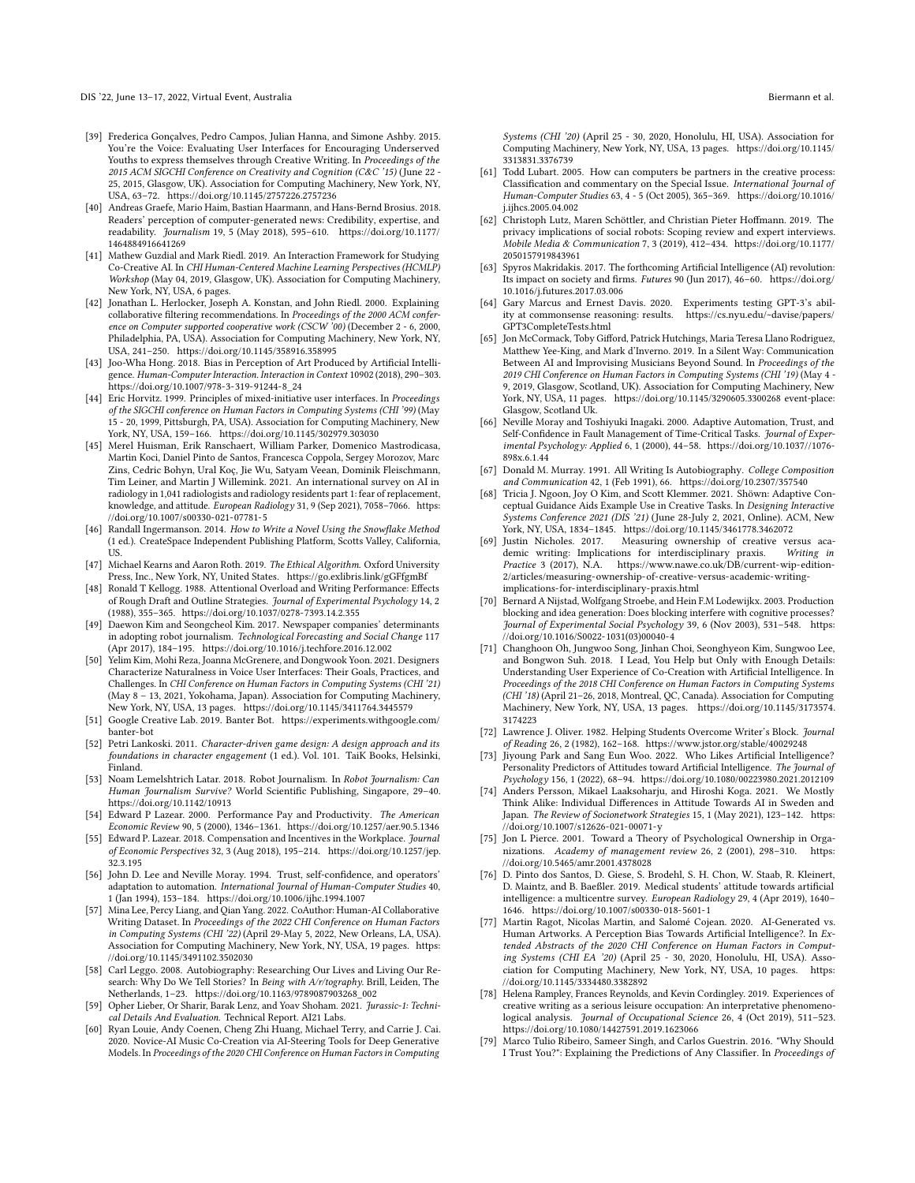- <span id="page-17-3"></span>[39] Frederica Gonçalves, Pedro Campos, Julian Hanna, and Simone Ashby. 2015. You're the Voice: Evaluating User Interfaces for Encouraging Underserved Youths to express themselves through Creative Writing. In Proceedings of the 2015 ACM SIGCHI Conference on Creativity and Cognition (C&C '15) (June 22 - 25, 2015, Glasgow, UK). Association for Computing Machinery, New York, NY, USA, 63–72.<https://doi.org/10.1145/2757226.2757236>
- <span id="page-17-38"></span>[40] Andreas Graefe, Mario Haim, Bastian Haarmann, and Hans-Bernd Brosius. 2018. Readers' perception of computer-generated news: Credibility, expertise, and readability. Journalism 19, 5 (May 2018), 595–610. [https://doi.org/10.1177/](https://doi.org/10.1177/1464884916641269) [1464884916641269](https://doi.org/10.1177/1464884916641269)
- <span id="page-17-13"></span>[41] Mathew Guzdial and Mark Riedl. 2019. An Interaction Framework for Studying Co-Creative AI. In CHI Human-Centered Machine Learning Perspectives (HCMLP) Workshop (May 04, 2019, Glasgow, UK). Association for Computing Machinery, New York, NY, USA, 6 pages.
- <span id="page-17-36"></span>[42] Jonathan L. Herlocker, Joseph A. Konstan, and John Riedl. 2000. Explaining collaborative filtering recommendations. In Proceedings of the 2000 ACM conference on Computer supported cooperative work (CSCW '00) (December 2 - 6, 2000, Philadelphia, PA, USA). Association for Computing Machinery, New York, NY, USA, 241–250.<https://doi.org/10.1145/358916.358995>
- <span id="page-17-40"></span>[43] Joo-Wha Hong. 2018. Bias in Perception of Art Produced by Artificial Intelligence. Human-Computer Interaction. Interaction in Context 10902 (2018), 290–303. [https://doi.org/10.1007/978-3-319-91244-8\\_24](https://doi.org/10.1007/978-3-319-91244-8_24)
- <span id="page-17-4"></span>[44] Eric Horvitz. 1999. Principles of mixed-initiative user interfaces. In Proceedings of the SIGCHI conference on Human Factors in Computing Systems (CHI '99) (May 15 - 20, 1999, Pittsburgh, PA, USA). Association for Computing Machinery, New York, NY, USA, 159–166.<https://doi.org/10.1145/302979.303030>
- <span id="page-17-12"></span>[45] Merel Huisman, Erik Ranschaert, William Parker, Domenico Mastrodicasa, Martin Koci, Daniel Pinto de Santos, Francesca Coppola, Sergey Morozov, Marc Zins, Cedric Bohyn, Ural Koç, Jie Wu, Satyam Veean, Dominik Fleischmann, Tim Leiner, and Martin J Willemink. 2021. An international survey on AI in radiology in 1,041 radiologists and radiology residents part 1: fear of replacement, knowledge, and attitude. European Radiology 31, 9 (Sep 2021), 7058–7066. [https:](https://doi.org/10.1007/s00330-021-07781-5) [//doi.org/10.1007/s00330-021-07781-5](https://doi.org/10.1007/s00330-021-07781-5)
- <span id="page-17-25"></span>[46] Randall Ingermanson. 2014. How to Write a Novel Using the Snowflake Method (1 ed.). CreateSpace Independent Publishing Platform, Scotts Valley, California, US.
- <span id="page-17-32"></span>[47] Michael Kearns and Aaron Roth. 2019. The Ethical Algorithm. Oxford University Press, Inc., New York, NY, United States.<https://go.exlibris.link/gGFfgmBf>
- <span id="page-17-24"></span>[48] Ronald T Kellogg. 1988. Attentional Overload and Writing Performance: Effects of Rough Draft and Outline Strategies. Journal of Experimental Psychology 14, 2 (1988), 355–365.<https://doi.org/10.1037/0278-7393.14.2.355>
- <span id="page-17-7"></span>[49] Daewon Kim and Seongcheol Kim. 2017. Newspaper companies' determinants in adopting robot journalism. Technological Forecasting and Social Change 117 (Apr 2017), 184–195.<https://doi.org/10.1016/j.techfore.2016.12.002>
- <span id="page-17-33"></span>[50] Yelim Kim, Mohi Reza, Joanna McGrenere, and Dongwook Yoon. 2021. Designers Characterize Naturalness in Voice User Interfaces: Their Goals, Practices, and Challenges. In CHI Conference on Human Factors in Computing Systems (CHI '21) (May 8 – 13, 2021, Yokohama, Japan). Association for Computing Machinery, New York, NY, USA, 13 pages.<https://doi.org/10.1145/3411764.3445579>
- <span id="page-17-27"></span>[51] Google Creative Lab. 2019. Banter Bot. [https://experiments.withgoogle.com/](https://experiments.withgoogle.com/banter-bot) [banter-bot](https://experiments.withgoogle.com/banter-bot)
- <span id="page-17-26"></span>[52] Petri Lankoski. 2011. Character-driven game design: A design approach and its foundations in character engagement (1 ed.). Vol. 101. TaiK Books, Helsinki, Finland.
- <span id="page-17-11"></span>[53] Noam Lemelshtrich Latar. 2018. Robot Journalism. In Robot Journalism: Can Human Journalism Survive? World Scientific Publishing, Singapore, 29–40. <https://doi.org/10.1142/10913>
- <span id="page-17-29"></span>[54] Edward P Lazear. 2000. Performance Pay and Productivity. The American Economic Review 90, 5 (2000), 1346–1361.<https://doi.org/10.1257/aer.90.5.1346>
- <span id="page-17-30"></span>[55] Edward P. Lazear. 2018. Compensation and Incentives in the Workplace. Journal of Economic Perspectives 32, 3 (Aug 2018), 195–214. [https://doi.org/10.1257/jep.](https://doi.org/10.1257/jep.32.3.195) [32.3.195](https://doi.org/10.1257/jep.32.3.195)
- <span id="page-17-34"></span>[56] John D. Lee and Neville Moray. 1994. Trust, self-confidence, and operators' adaptation to automation. International Journal of Human-Computer Studies 40, 1 (Jan 1994), 153–184.<https://doi.org/10.1006/ijhc.1994.1007>
- <span id="page-17-15"></span>[57] Mina Lee, Percy Liang, and Qian Yang. 2022. CoAuthor: Human-AI Collaborative Writing Dataset. In Proceedings of the 2022 CHI Conference on Human Factors in Computing Systems (CHI '22) (April 29-May 5, 2022, New Orleans, LA, USA). Association for Computing Machinery, New York, NY, USA, 19 pages. [https:](https://doi.org/10.1145/3491102.3502030) [//doi.org/10.1145/3491102.3502030](https://doi.org/10.1145/3491102.3502030)
- <span id="page-17-1"></span>[58] Carl Leggo. 2008. Autobiography: Researching Our Lives and Living Our Research: Why Do We Tell Stories? In Being with A/r/tography. Brill, Leiden, The Netherlands, 1–23. [https://doi.org/10.1163/9789087903268\\_002](https://doi.org/10.1163/9789087903268_002)
- <span id="page-17-0"></span>[59] Opher Lieber, Or Sharir, Barak Lenz, and Yoav Shoham. 2021. Jurassic-1: Technical Details And Evaluation. Technical Report. AI21 Labs.
- <span id="page-17-18"></span>[60] Ryan Louie, Andy Coenen, Cheng Zhi Huang, Michael Terry, and Carrie J. Cai. 2020. Novice-AI Music Co-Creation via AI-Steering Tools for Deep Generative Models. In Proceedings of the 2020 CHI Conference on Human Factors in Computing

Systems (CHI '20) (April 25 - 30, 2020, Honolulu, HI, USA). Association for Computing Machinery, New York, NY, USA, 13 pages. [https://doi.org/10.1145/](https://doi.org/10.1145/3313831.3376739) [3313831.3376739](https://doi.org/10.1145/3313831.3376739)

- <span id="page-17-14"></span>[61] Todd Lubart. 2005. How can computers be partners in the creative process: Classification and commentary on the Special Issue. International Journal of Human-Computer Studies 63, 4 - 5 (Oct 2005), 365–369. [https://doi.org/10.1016/](https://doi.org/10.1016/j.ijhcs.2005.04.002) [j.ijhcs.2005.04.002](https://doi.org/10.1016/j.ijhcs.2005.04.002)
- <span id="page-17-10"></span>[62] Christoph Lutz, Maren Schöttler, and Christian Pieter Hoffmann. 2019. The privacy implications of social robots: Scoping review and expert interviews. Mobile Media & Communication 7, 3 (2019), 412–434. [https://doi.org/10.1177/](https://doi.org/10.1177/2050157919843961) [2050157919843961](https://doi.org/10.1177/2050157919843961)
- <span id="page-17-8"></span>[63] Spyros Makridakis. 2017. The forthcoming Artificial Intelligence (AI) revolution: Its impact on society and firms. Futures 90 (Jun 2017), 46–60. [https://doi.org/](https://doi.org/10.1016/j.futures.2017.03.006) [10.1016/j.futures.2017.03.006](https://doi.org/10.1016/j.futures.2017.03.006)
- <span id="page-17-31"></span>[64] Gary Marcus and Ernest Davis. 2020. Experiments testing GPT-3's ability at commonsense reasoning: results. [https://cs.nyu.edu/~davise/papers/](https://cs.nyu.edu/~davise/papers/GPT3CompleteTests.html) [GPT3CompleteTests.html](https://cs.nyu.edu/~davise/papers/GPT3CompleteTests.html)
- <span id="page-17-19"></span>[65] Jon McCormack, Toby Gifford, Patrick Hutchings, Maria Teresa Llano Rodriguez, Matthew Yee-King, and Mark d'Inverno. 2019. In a Silent Way: Communication Between AI and Improvising Musicians Beyond Sound. In Proceedings of the 2019 CHI Conference on Human Factors in Computing Systems (CHI '19) (May 4 - 9, 2019, Glasgow, Scotland, UK). Association for Computing Machinery, New York, NY, USA, 11 pages.<https://doi.org/10.1145/3290605.3300268> event-place: Glasgow, Scotland Uk.
- <span id="page-17-35"></span>[66] Neville Moray and Toshiyuki Inagaki. 2000. Adaptive Automation, Trust, and Self-Confidence in Fault Management of Time-Critical Tasks. Journal of Experimental Psychology: Applied 6, 1 (2000), 44–58. [https://doi.org/10.1037//1076-](https://doi.org/10.1037//1076-898x.6.1.44) [898x.6.1.44](https://doi.org/10.1037//1076-898x.6.1.44)
- <span id="page-17-22"></span>[67] Donald M. Murray. 1991. All Writing Is Autobiography. College Composition and Communication 42, 1 (Feb 1991), 66.<https://doi.org/10.2307/357540>
- <span id="page-17-17"></span>[68] Tricia J. Ngoon, Joy O Kim, and Scott Klemmer. 2021. Shöwn: Adaptive Conceptual Guidance Aids Example Use in Creative Tasks. In Designing Interactive Systems Conference 2021 (DIS '21) (June 28-July 2, 2021, Online). ACM, New York, NY, USA, 1834–1845.<https://doi.org/10.1145/3461778.3462072>
- <span id="page-17-21"></span>[69] Justin Nicholes. 2017. Measuring ownership of creative versus academic writing: Implications for interdisciplinary praxis. Practice 3 (2017), N.A. [https://www.nawe.co.uk/DB/current-wip-edition-](https://www.nawe.co.uk/DB/current-wip-edition-2/articles/measuring-ownership-of-creative-versus-academic-writing-implications-for-interdisciplinary-praxis.html)[2/articles/measuring-ownership-of-creative-versus-academic-writing](https://www.nawe.co.uk/DB/current-wip-edition-2/articles/measuring-ownership-of-creative-versus-academic-writing-implications-for-interdisciplinary-praxis.html)[implications-for-interdisciplinary-praxis.html](https://www.nawe.co.uk/DB/current-wip-edition-2/articles/measuring-ownership-of-creative-versus-academic-writing-implications-for-interdisciplinary-praxis.html)
- <span id="page-17-28"></span>[70] Bernard A Nijstad, Wolfgang Stroebe, and Hein F.M Lodewijkx. 2003. Production blocking and idea generation: Does blocking interfere with cognitive processes? Journal of Experimental Social Psychology 39, 6 (Nov 2003), 531–548. [https:](https://doi.org/10.1016/S0022-1031(03)00040-4) [//doi.org/10.1016/S0022-1031\(03\)00040-4](https://doi.org/10.1016/S0022-1031(03)00040-4)
- <span id="page-17-16"></span>[71] Changhoon Oh, Jungwoo Song, Jinhan Choi, Seonghyeon Kim, Sungwoo Lee, and Bongwon Suh. 2018. I Lead, You Help but Only with Enough Details: Understanding User Experience of Co-Creation with Artificial Intelligence. In Proceedings of the 2018 CHI Conference on Human Factors in Computing Systems (CHI '18) (April 21–26, 2018, Montreal, QC, Canada). Association for Computing Machinery, New York, NY, USA, 13 pages. [https://doi.org/10.1145/3173574.](https://doi.org/10.1145/3173574.3174223) [3174223](https://doi.org/10.1145/3173574.3174223)
- <span id="page-17-23"></span>[72] Lawrence J. Oliver. 1982. Helping Students Overcome Writer's Block. Journal
- <span id="page-17-5"></span>of Reading 26, 2 (1982), 162–168.<https://www.jstor.org/stable/40029248> [73] Jiyoung Park and Sang Eun Woo. 2022. Who Likes Artificial Intelligence? Personality Predictors of Attitudes toward Artificial Intelligence. The Journal of Psychology 156, 1 (2022), 68–94.<https://doi.org/10.1080/00223980.2021.2012109>
- <span id="page-17-6"></span>[74] Anders Persson, Mikael Laaksoharju, and Hiroshi Koga. 2021. We Mostly Think Alike: Individual Differences in Attitude Towards AI in Sweden and Japan. The Review of Socionetwork Strategies 15, 1 (May 2021), 123–142. [https:](https://doi.org/10.1007/s12626-021-00071-y) [//doi.org/10.1007/s12626-021-00071-y](https://doi.org/10.1007/s12626-021-00071-y)
- <span id="page-17-20"></span>[75] Jon L Pierce. 2001. Toward a Theory of Psychological Ownership in Organizations. Academy of management review 26, 2 (2001), 298-310. [//doi.org/10.5465/amr.2001.4378028](https://doi.org/10.5465/amr.2001.4378028)
- <span id="page-17-9"></span>[76] D. Pinto dos Santos, D. Giese, S. Brodehl, S. H. Chon, W. Staab, R. Kleinert, D. Maintz, and B. Baeßler. 2019. Medical students' attitude towards artificial intelligence: a multicentre survey. European Radiology 29, 4 (Apr 2019), 1640– 1646.<https://doi.org/10.1007/s00330-018-5601-1>
- <span id="page-17-39"></span>[77] Martin Ragot, Nicolas Martin, and Salomé Cojean. 2020. AI-Generated vs. Human Artworks. A Perception Bias Towards Artificial Intelligence?. In Extended Abstracts of the 2020 CHI Conference on Human Factors in Computing Systems (CHI EA '20) (April 25 - 30, 2020, Honolulu, HI, USA). Association for Computing Machinery, New York, NY, USA, 10 pages. [https:](https://doi.org/10.1145/3334480.3382892) [//doi.org/10.1145/3334480.3382892](https://doi.org/10.1145/3334480.3382892)
- <span id="page-17-2"></span>[78] Helena Rampley, Frances Reynolds, and Kevin Cordingley. 2019. Experiences of creative writing as a serious leisure occupation: An interpretative phenomenological analysis. Journal of Occupational Science 26, 4 (Oct 2019), 511-523. <https://doi.org/10.1080/14427591.2019.1623066>
- <span id="page-17-37"></span>[79] Marco Tulio Ribeiro, Sameer Singh, and Carlos Guestrin. 2016. "Why Should I Trust You?": Explaining the Predictions of Any Classifier. In Proceedings of